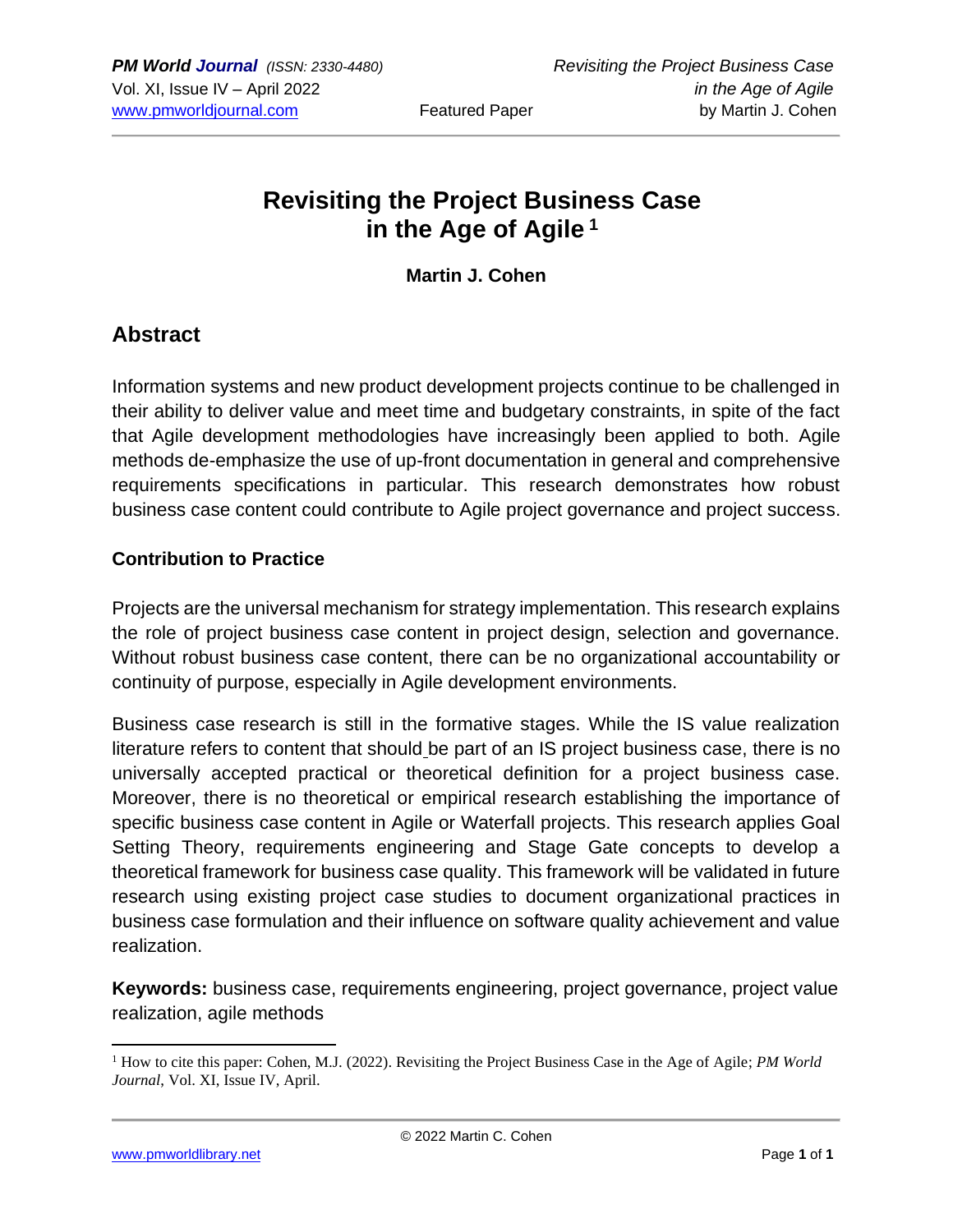# **Revisiting the Project Business Case in the Age of Agile <sup>1</sup>**

**Martin J. Cohen**

### **Abstract**

Information systems and new product development projects continue to be challenged in their ability to deliver value and meet time and budgetary constraints, in spite of the fact that Agile development methodologies have increasingly been applied to both. Agile methods de-emphasize the use of up-front documentation in general and comprehensive requirements specifications in particular. This research demonstrates how robust business case content could contribute to Agile project governance and project success.

#### **Contribution to Practice**

Projects are the universal mechanism for strategy implementation. This research explains the role of project business case content in project design, selection and governance. Without robust business case content, there can be no organizational accountability or continuity of purpose, especially in Agile development environments.

Business case research is still in the formative stages. While the IS value realization literature refers to content that should be part of an IS project business case, there is no universally accepted practical or theoretical definition for a project business case. Moreover, there is no theoretical or empirical research establishing the importance of specific business case content in Agile or Waterfall projects. This research applies Goal Setting Theory, requirements engineering and Stage Gate concepts to develop a theoretical framework for business case quality. This framework will be validated in future research using existing project case studies to document organizational practices in business case formulation and their influence on software quality achievement and value realization.

**Keywords:** business case, requirements engineering, project governance, project value realization, agile methods

[www.pmworldlibrary.net](about:blank) Page **1** of **1**

<sup>1</sup> How to cite this paper: Cohen, M.J. (2022). Revisiting the Project Business Case in the Age of Agile; *PM World Journal*, Vol. XI, Issue IV, April.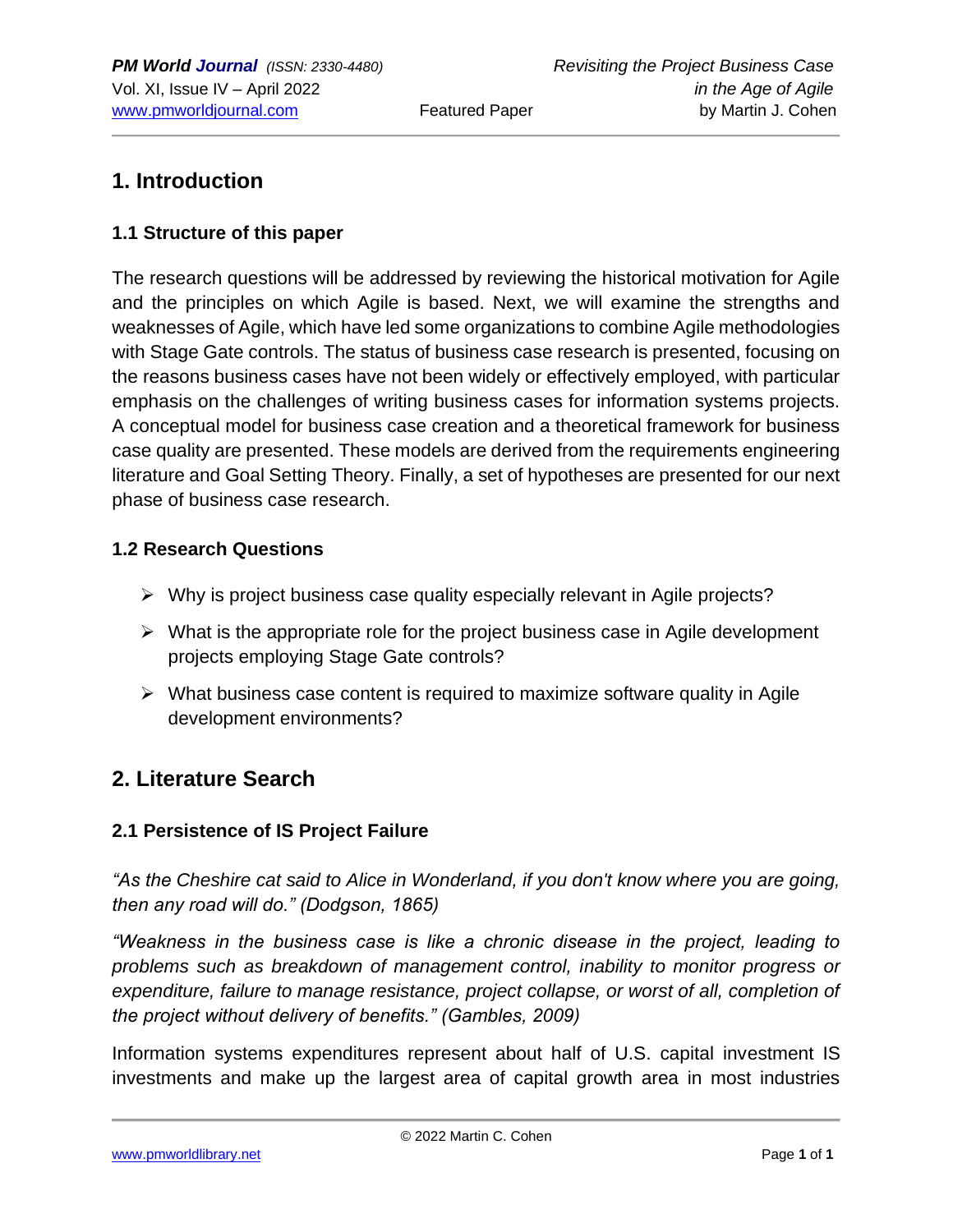# **1. Introduction**

#### **1.1 Structure of this paper**

The research questions will be addressed by reviewing the historical motivation for Agile and the principles on which Agile is based. Next, we will examine the strengths and weaknesses of Agile, which have led some organizations to combine Agile methodologies with Stage Gate controls. The status of business case research is presented, focusing on the reasons business cases have not been widely or effectively employed, with particular emphasis on the challenges of writing business cases for information systems projects. A conceptual model for business case creation and a theoretical framework for business case quality are presented. These models are derived from the requirements engineering literature and Goal Setting Theory. Finally, a set of hypotheses are presented for our next phase of business case research.

#### **1.2 Research Questions**

- ➢ Why is project business case quality especially relevant in Agile projects?
- $\triangleright$  What is the appropriate role for the project business case in Agile development projects employing Stage Gate controls?
- $\triangleright$  What business case content is required to maximize software quality in Agile development environments?

## **2. Literature Search**

#### **2.1 Persistence of IS Project Failure**

*"As the Cheshire cat said to Alice in Wonderland, if you don't know where you are going, then any road will do." (Dodgson, 1865)*

*"Weakness in the business case is like a chronic disease in the project, leading to problems such as breakdown of management control, inability to monitor progress or expenditure, failure to manage resistance, project collapse, or worst of all, completion of the project without delivery of benefits." (Gambles, 2009)*

Information systems expenditures represent about half of U.S. capital investment IS investments and make up the largest area of capital growth area in most industries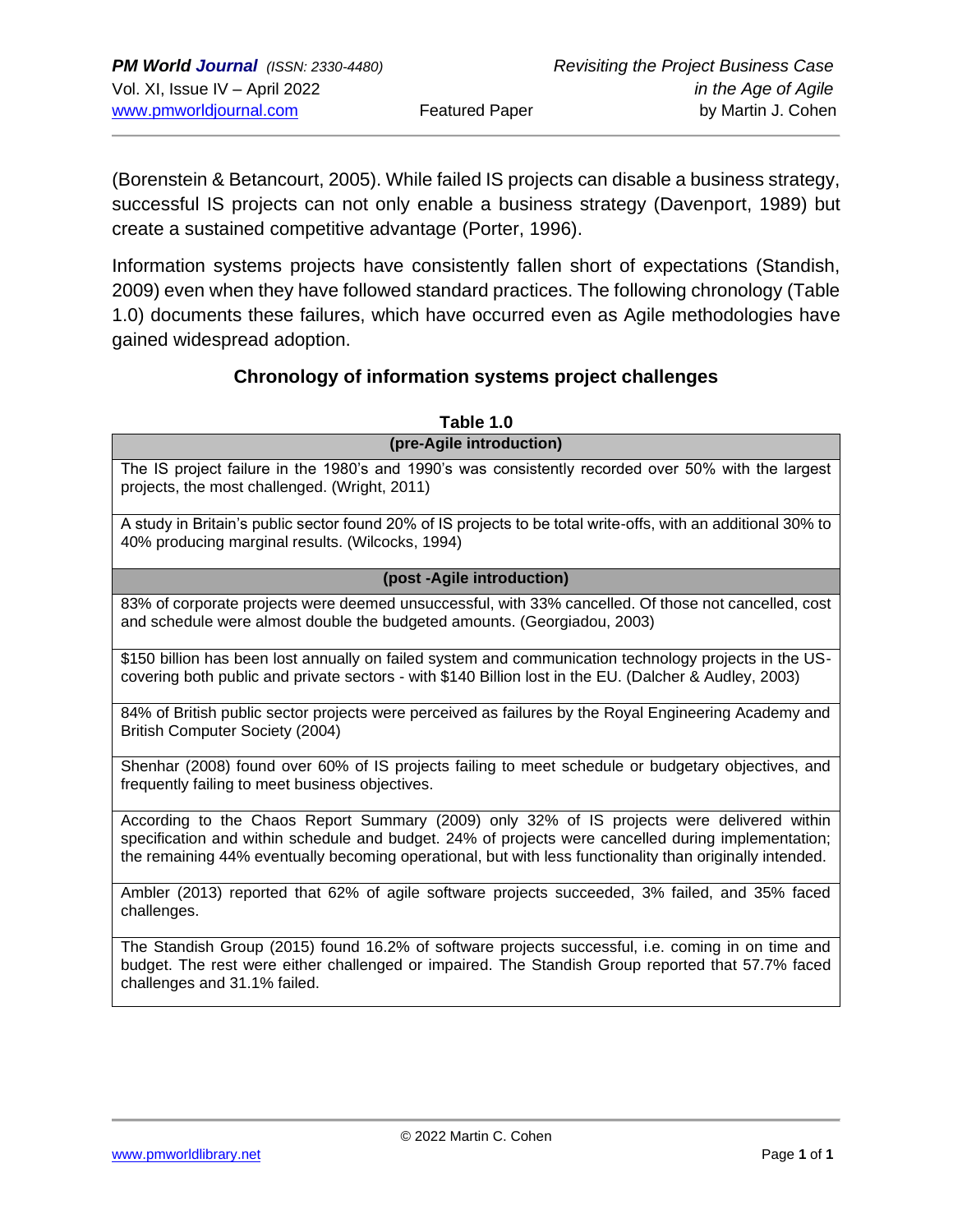(Borenstein & Betancourt, 2005). While failed IS projects can disable a business strategy, successful IS projects can not only enable a business strategy (Davenport, 1989) but create a sustained competitive advantage (Porter, 1996).

Information systems projects have consistently fallen short of expectations (Standish, 2009) even when they have followed standard practices. The following chronology (Table 1.0) documents these failures, which have occurred even as Agile methodologies have gained widespread adoption.

#### **Chronology of information systems project challenges**

| Table 1.0                                                                                                                                                                                                                                                                                                     |  |  |
|---------------------------------------------------------------------------------------------------------------------------------------------------------------------------------------------------------------------------------------------------------------------------------------------------------------|--|--|
| (pre-Agile introduction)                                                                                                                                                                                                                                                                                      |  |  |
| The IS project failure in the 1980's and 1990's was consistently recorded over 50% with the largest<br>projects, the most challenged. (Wright, 2011)                                                                                                                                                          |  |  |
| A study in Britain's public sector found 20% of IS projects to be total write-offs, with an additional 30% to<br>40% producing marginal results. (Wilcocks, 1994)                                                                                                                                             |  |  |
| (post-Agile introduction)                                                                                                                                                                                                                                                                                     |  |  |
| 83% of corporate projects were deemed unsuccessful, with 33% cancelled. Of those not cancelled, cost<br>and schedule were almost double the budgeted amounts. (Georgiadou, 2003)                                                                                                                              |  |  |
| \$150 billion has been lost annually on failed system and communication technology projects in the US-<br>covering both public and private sectors - with \$140 Billion lost in the EU. (Dalcher & Audley, 2003)                                                                                              |  |  |
| 84% of British public sector projects were perceived as failures by the Royal Engineering Academy and<br>British Computer Society (2004)                                                                                                                                                                      |  |  |
| Shenhar (2008) found over 60% of IS projects failing to meet schedule or budgetary objectives, and<br>frequently failing to meet business objectives.                                                                                                                                                         |  |  |
| According to the Chaos Report Summary (2009) only 32% of IS projects were delivered within<br>specification and within schedule and budget. 24% of projects were cancelled during implementation;<br>the remaining 44% eventually becoming operational, but with less functionality than originally intended. |  |  |
| Ambler (2013) reported that 62% of agile software projects succeeded, 3% failed, and 35% faced<br>challenges.                                                                                                                                                                                                 |  |  |
| The Standish Group (2015) found 16.2% of software projects successful, i.e. coming in on time and<br>budget. The rest were either challenged or impaired. The Standish Group reported that 57.7% faced<br>challenges and 31.1% failed.                                                                        |  |  |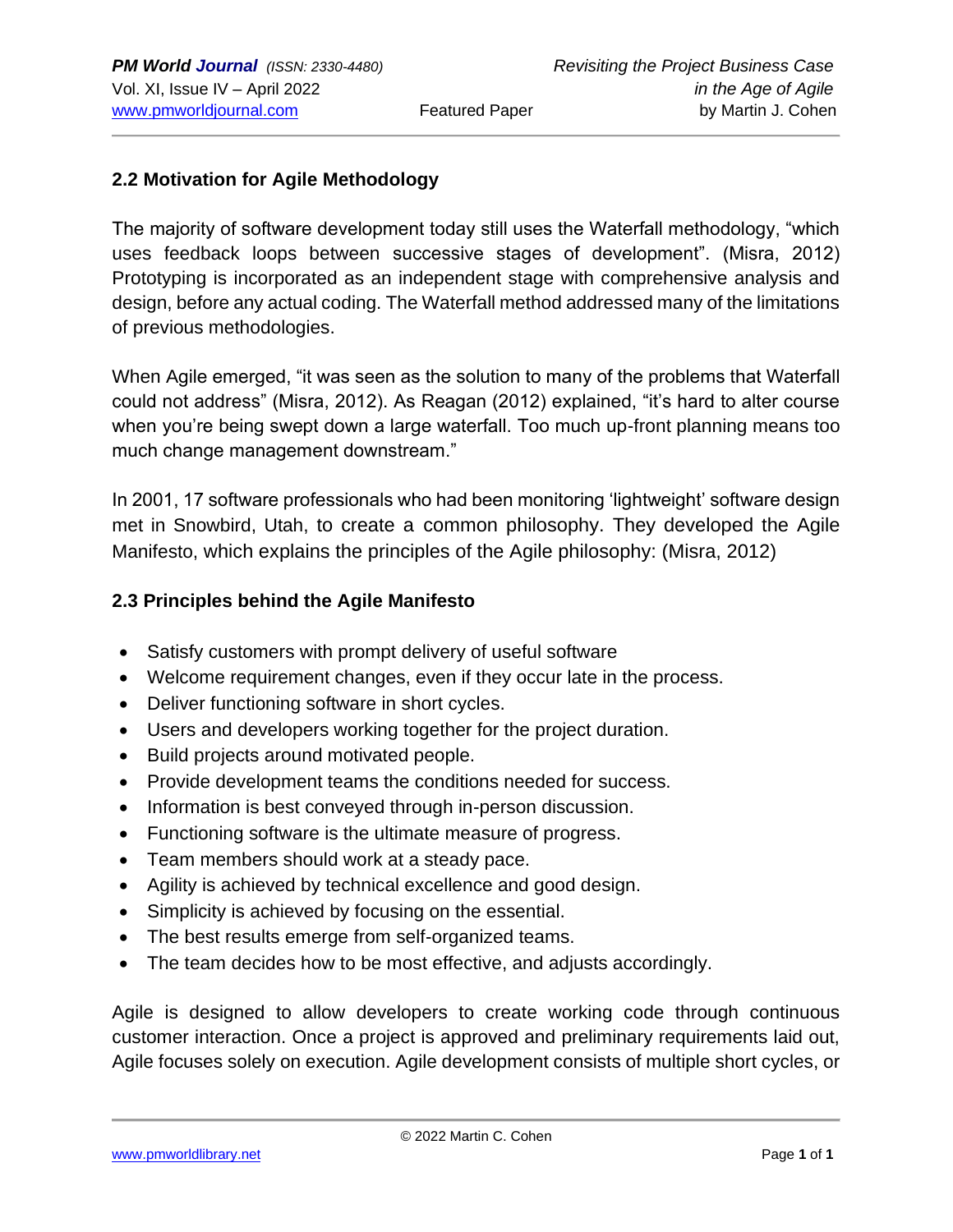#### **2.2 Motivation for Agile Methodology**

The majority of software development today still uses the Waterfall methodology, "which uses feedback loops between successive stages of development". (Misra, 2012) Prototyping is incorporated as an independent stage with comprehensive analysis and design, before any actual coding. The Waterfall method addressed many of the limitations of previous methodologies.

When Agile emerged, "it was seen as the solution to many of the problems that Waterfall could not address" (Misra, 2012). As Reagan (2012) explained, "it's hard to alter course when you're being swept down a large waterfall. Too much up-front planning means too much change management downstream."

In 2001, 17 software professionals who had been monitoring 'lightweight' software design met in Snowbird, Utah, to create a common philosophy. They developed the Agile Manifesto, which explains the principles of the Agile philosophy: (Misra, 2012)

#### **2.3 Principles behind the Agile Manifesto**

- Satisfy customers with prompt delivery of useful software
- Welcome requirement changes, even if they occur late in the process.
- Deliver functioning software in short cycles.
- Users and developers working together for the project duration.
- Build projects around motivated people.
- Provide development teams the conditions needed for success.
- Information is best conveyed through in-person discussion.
- Functioning software is the ultimate measure of progress.
- Team members should work at a steady pace.
- Agility is achieved by technical excellence and good design.
- Simplicity is achieved by focusing on the essential.
- The best results emerge from self-organized teams.
- The team decides how to be most effective, and adjusts accordingly.

Agile is designed to allow developers to create working code through continuous customer interaction. Once a project is approved and preliminary requirements laid out, Agile focuses solely on execution. Agile development consists of multiple short cycles, or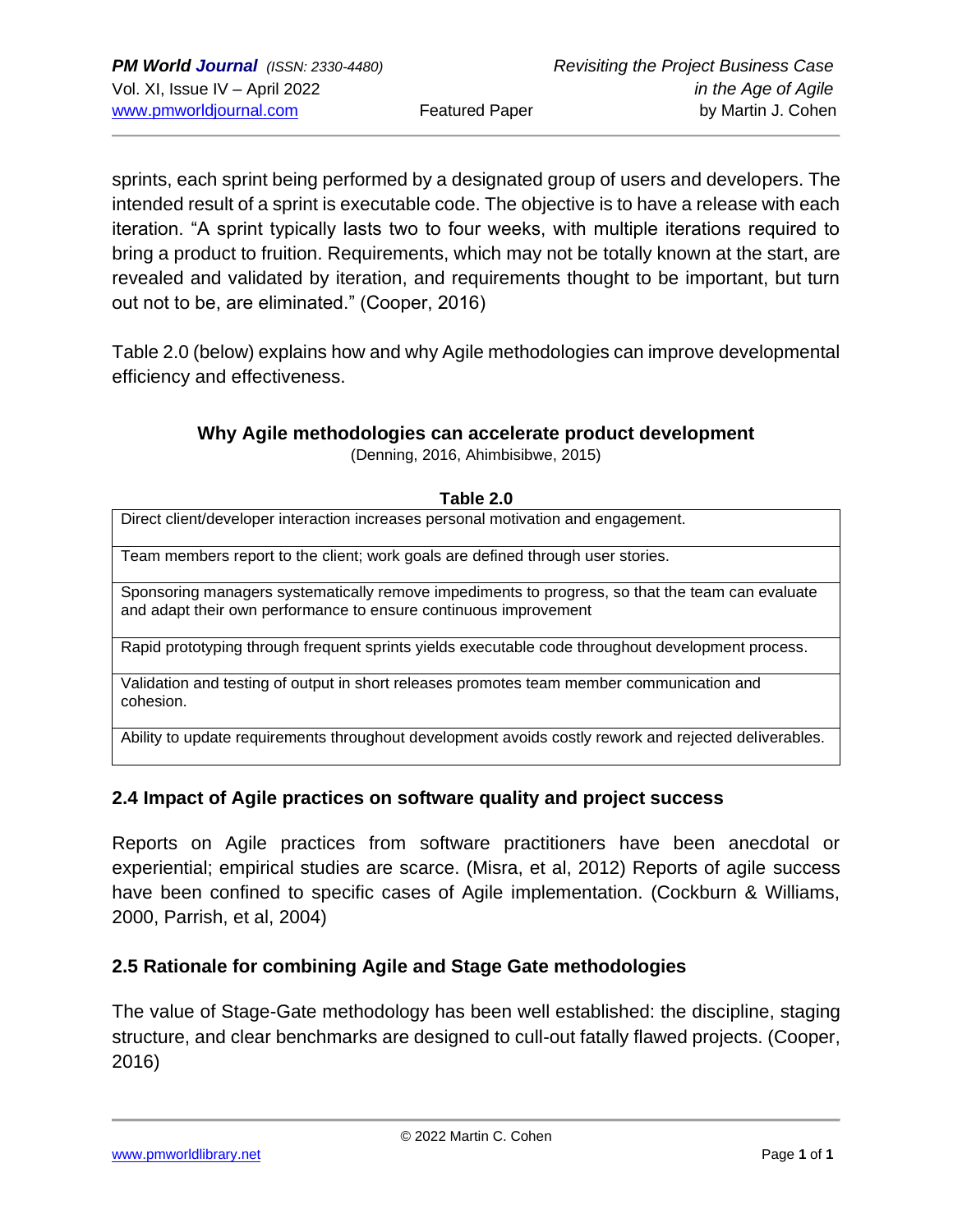sprints, each sprint being performed by a designated group of users and developers. The intended result of a sprint is executable code. The objective is to have a release with each iteration. "A sprint typically lasts two to four weeks, with multiple iterations required to bring a product to fruition. Requirements, which may not be totally known at the start, are revealed and validated by iteration, and requirements thought to be important, but turn out not to be, are eliminated." (Cooper, 2016)

Table 2.0 (below) explains how and why Agile methodologies can improve developmental efficiency and effectiveness.

#### **Why Agile methodologies can accelerate product development**

(Denning, 2016, Ahimbisibwe, 2015)

| Table 2.0                                                                                                                                                            |  |  |  |
|----------------------------------------------------------------------------------------------------------------------------------------------------------------------|--|--|--|
| Direct client/developer interaction increases personal motivation and engagement.                                                                                    |  |  |  |
| Team members report to the client; work goals are defined through user stories.                                                                                      |  |  |  |
| Sponsoring managers systematically remove impediments to progress, so that the team can evaluate<br>and adapt their own performance to ensure continuous improvement |  |  |  |
| Rapid prototyping through frequent sprints yields executable code throughout development process.                                                                    |  |  |  |
| Validation and testing of output in short releases promotes team member communication and<br>cohesion.                                                               |  |  |  |
| Ability to update requirements throughout development avoids costly rework and rejected deliverables.                                                                |  |  |  |

#### **2.4 Impact of Agile practices on software quality and project success**

Reports on Agile practices from software practitioners have been anecdotal or experiential; empirical studies are scarce. (Misra, et al, 2012) Reports of agile success have been confined to specific cases of Agile implementation. (Cockburn & Williams, 2000, Parrish, et al, 2004)

#### **2.5 Rationale for combining Agile and Stage Gate methodologies**

The value of Stage-Gate methodology has been well established: the discipline, staging structure, and clear benchmarks are designed to cull-out fatally flawed projects. (Cooper, 2016)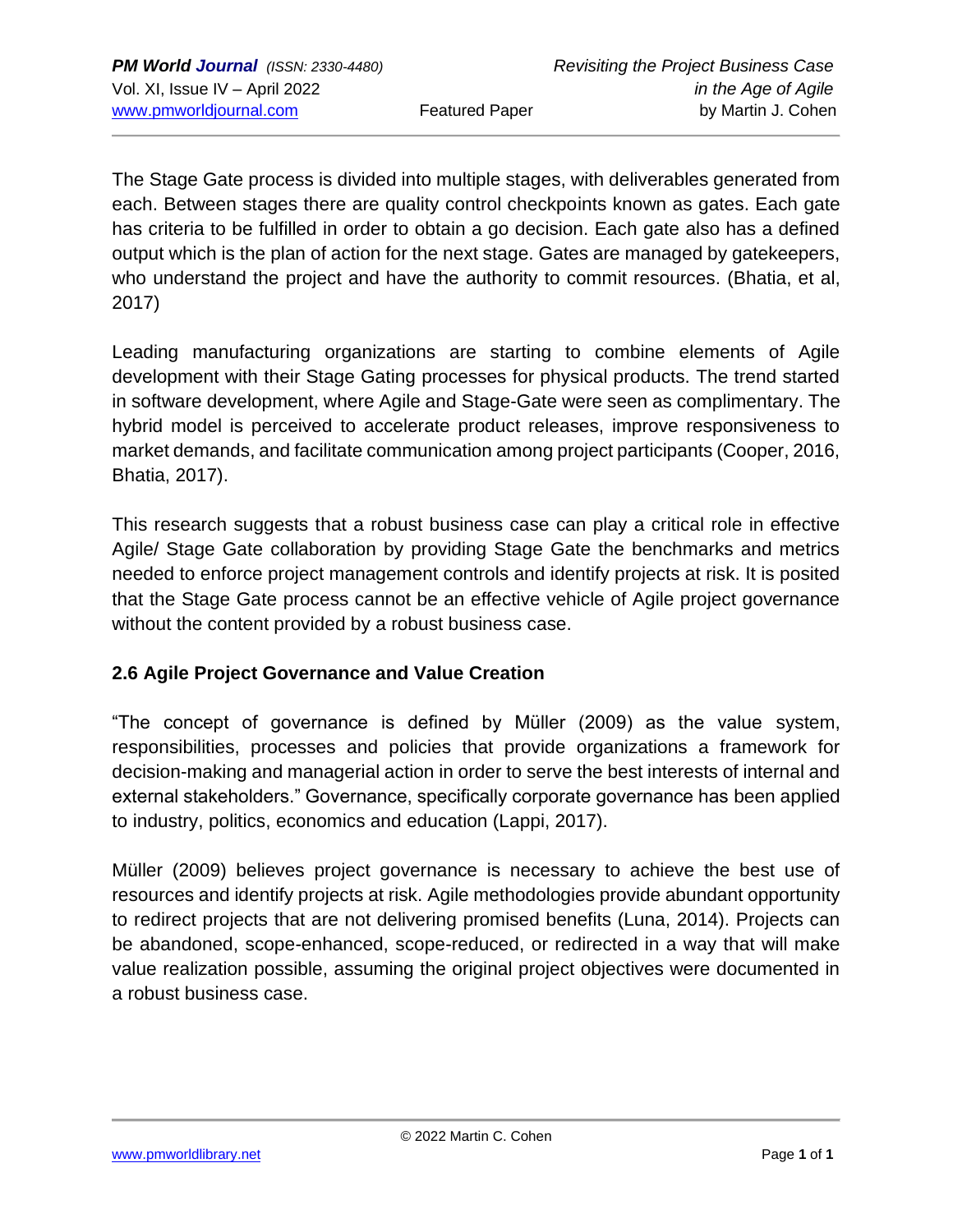The Stage Gate process is divided into multiple stages, with deliverables generated from each. Between stages there are quality control checkpoints known as gates. Each gate has criteria to be fulfilled in order to obtain a go decision. Each gate also has a defined output which is the plan of action for the next stage. Gates are managed by gatekeepers, who understand the project and have the authority to commit resources. (Bhatia, et al, 2017)

Leading manufacturing organizations are starting to combine elements of Agile development with their Stage Gating processes for physical products. The trend started in software development, where Agile and Stage-Gate were seen as complimentary. The hybrid model is perceived to accelerate product releases, improve responsiveness to market demands, and facilitate communication among project participants (Cooper, 2016, Bhatia, 2017).

This research suggests that a robust business case can play a critical role in effective Agile/ Stage Gate collaboration by providing Stage Gate the benchmarks and metrics needed to enforce project management controls and identify projects at risk. It is posited that the Stage Gate process cannot be an effective vehicle of Agile project governance without the content provided by a robust business case.

#### **2.6 Agile Project Governance and Value Creation**

"The concept of governance is defined by Müller (2009) as the value system, responsibilities, processes and policies that provide organizations a framework for decision-making and managerial action in order to serve the best interests of internal and external stakeholders." Governance, specifically corporate governance has been applied to industry, politics, economics and education (Lappi, 2017).

Müller (2009) believes project governance is necessary to achieve the best use of resources and identify projects at risk. Agile methodologies provide abundant opportunity to redirect projects that are not delivering promised benefits (Luna, 2014). Projects can be abandoned, scope-enhanced, scope-reduced, or redirected in a way that will make value realization possible, assuming the original project objectives were documented in a robust business case.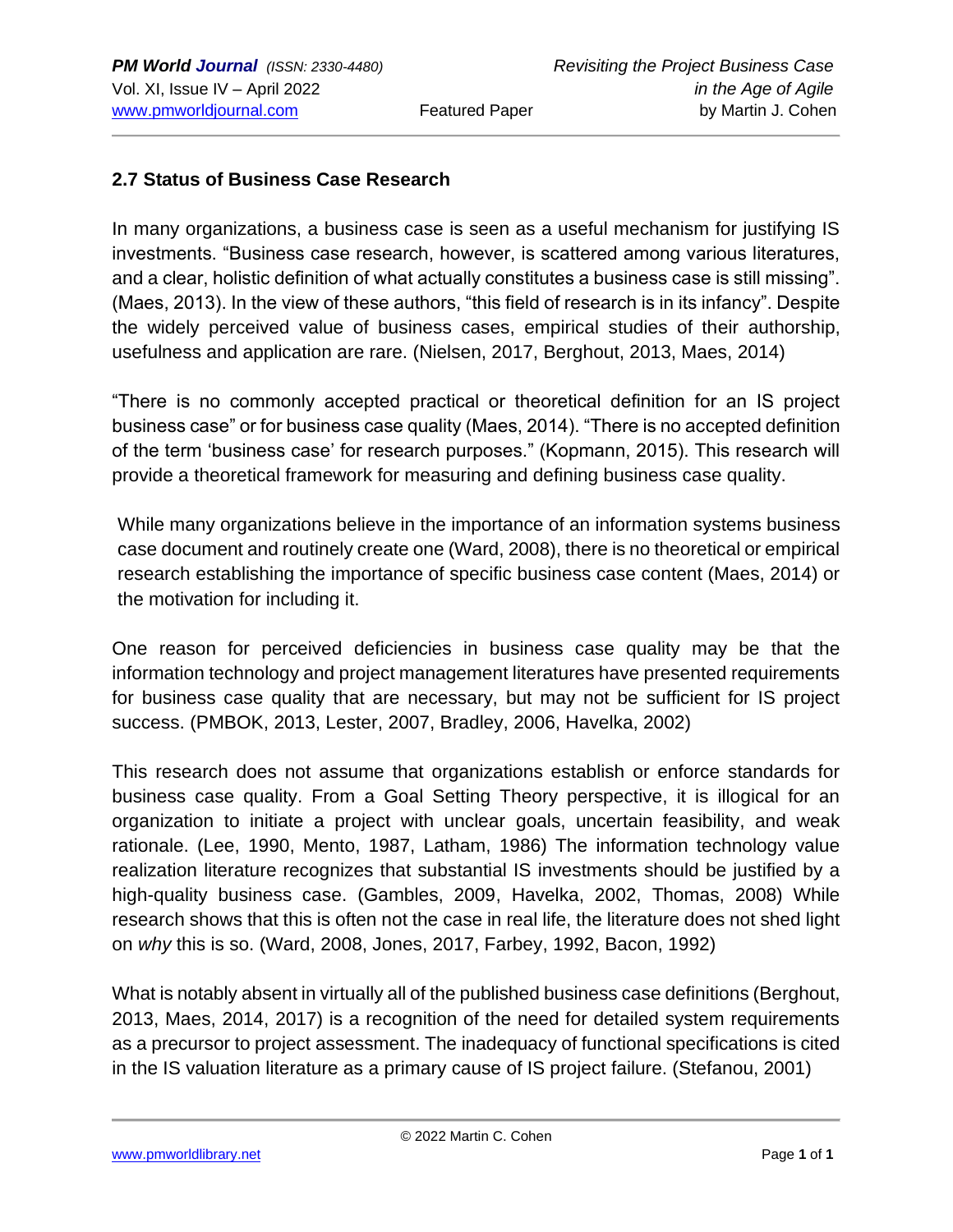#### **2.7 Status of Business Case Research**

In many organizations, a business case is seen as a useful mechanism for justifying IS investments. "Business case research, however, is scattered among various literatures, and a clear, holistic definition of what actually constitutes a business case is still missing". (Maes, 2013). In the view of these authors, "this field of research is in its infancy". Despite the widely perceived value of business cases, empirical studies of their authorship, usefulness and application are rare. (Nielsen, 2017, Berghout, 2013, Maes, 2014)

"There is no commonly accepted practical or theoretical definition for an IS project business case" or for business case quality (Maes, 2014). "There is no accepted definition of the term 'business case' for research purposes." (Kopmann, 2015). This research will provide a theoretical framework for measuring and defining business case quality.

While many organizations believe in the importance of an information systems business case document and routinely create one (Ward, 2008), there is no theoretical or empirical research establishing the importance of specific business case content (Maes, 2014) or the motivation for including it.

One reason for perceived deficiencies in business case quality may be that the information technology and project management literatures have presented requirements for business case quality that are necessary, but may not be sufficient for IS project success. (PMBOK, 2013, Lester, 2007, Bradley, 2006, Havelka, 2002)

This research does not assume that organizations establish or enforce standards for business case quality. From a Goal Setting Theory perspective, it is illogical for an organization to initiate a project with unclear goals, uncertain feasibility, and weak rationale. (Lee, 1990, Mento, 1987, Latham, 1986) The information technology value realization literature recognizes that substantial IS investments should be justified by a high-quality business case. (Gambles, 2009, Havelka, 2002, Thomas, 2008) While research shows that this is often not the case in real life, the literature does not shed light on *why* this is so. (Ward, 2008, Jones, 2017, Farbey, 1992, Bacon, 1992)

What is notably absent in virtually all of the published business case definitions (Berghout, 2013, Maes, 2014, 2017) is a recognition of the need for detailed system requirements as a precursor to project assessment. The inadequacy of functional specifications is cited in the IS valuation literature as a primary cause of IS project failure. (Stefanou, 2001)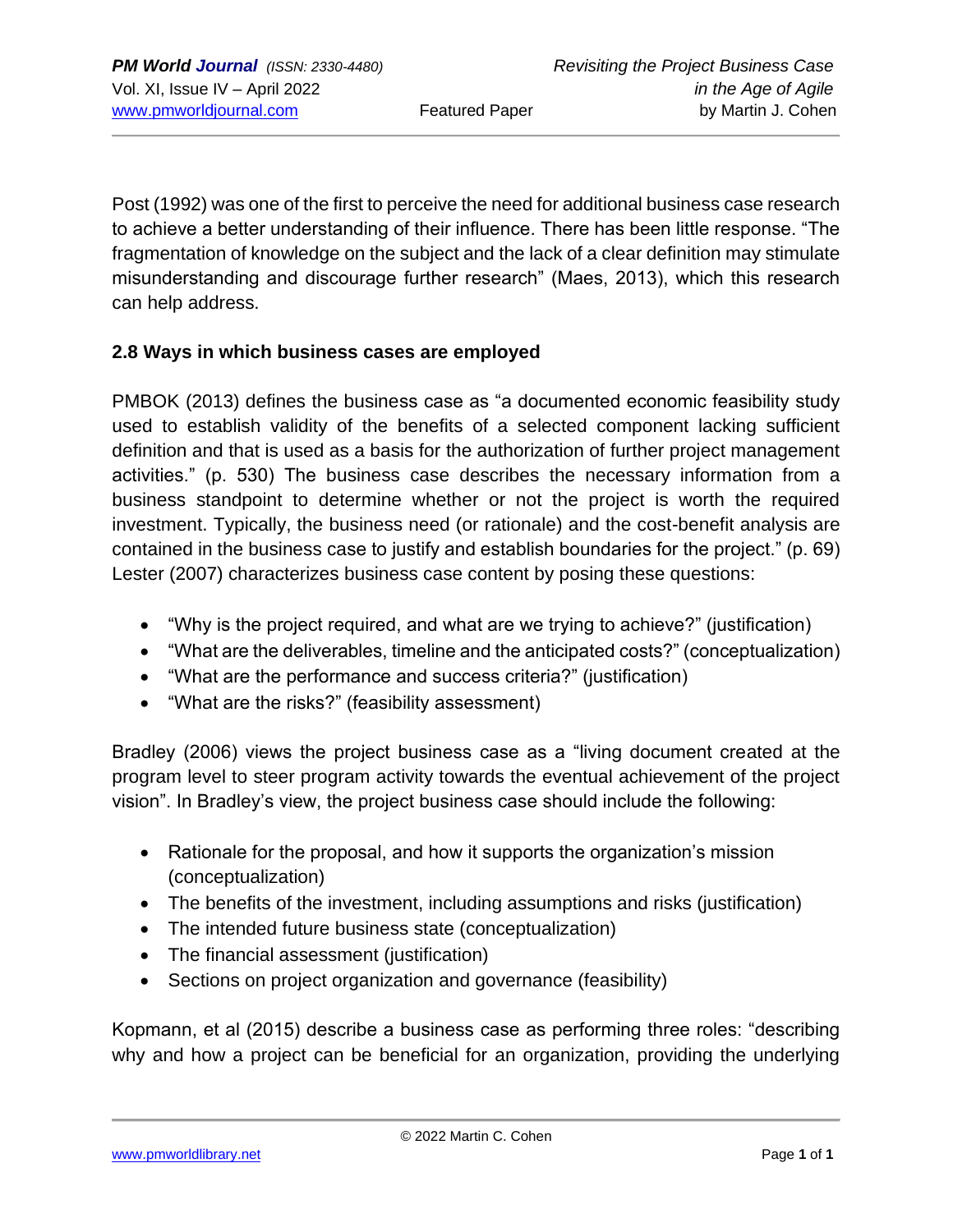Post (1992) was one of the first to perceive the need for additional business case research to achieve a better understanding of their influence. There has been little response. "The fragmentation of knowledge on the subject and the lack of a clear definition may stimulate misunderstanding and discourage further research" (Maes, 2013), which this research can help address.

#### **2.8 Ways in which business cases are employed**

PMBOK (2013) defines the business case as "a documented economic feasibility study used to establish validity of the benefits of a selected component lacking sufficient definition and that is used as a basis for the authorization of further project management activities." (p. 530) The business case describes the necessary information from a business standpoint to determine whether or not the project is worth the required investment. Typically, the business need (or rationale) and the cost-benefit analysis are contained in the business case to justify and establish boundaries for the project." (p. 69) Lester (2007) characterizes business case content by posing these questions:

- "Why is the project required, and what are we trying to achieve?" (justification)
- "What are the deliverables, timeline and the anticipated costs?" (conceptualization)
- "What are the performance and success criteria?" (justification)
- "What are the risks?" (feasibility assessment)

Bradley (2006) views the project business case as a "living document created at the program level to steer program activity towards the eventual achievement of the project vision". In Bradley's view, the project business case should include the following:

- Rationale for the proposal, and how it supports the organization's mission (conceptualization)
- The benefits of the investment, including assumptions and risks (justification)
- The intended future business state (conceptualization)
- The financial assessment (justification)
- Sections on project organization and governance (feasibility)

Kopmann, et al (2015) describe a business case as performing three roles: "describing why and how a project can be beneficial for an organization, providing the underlying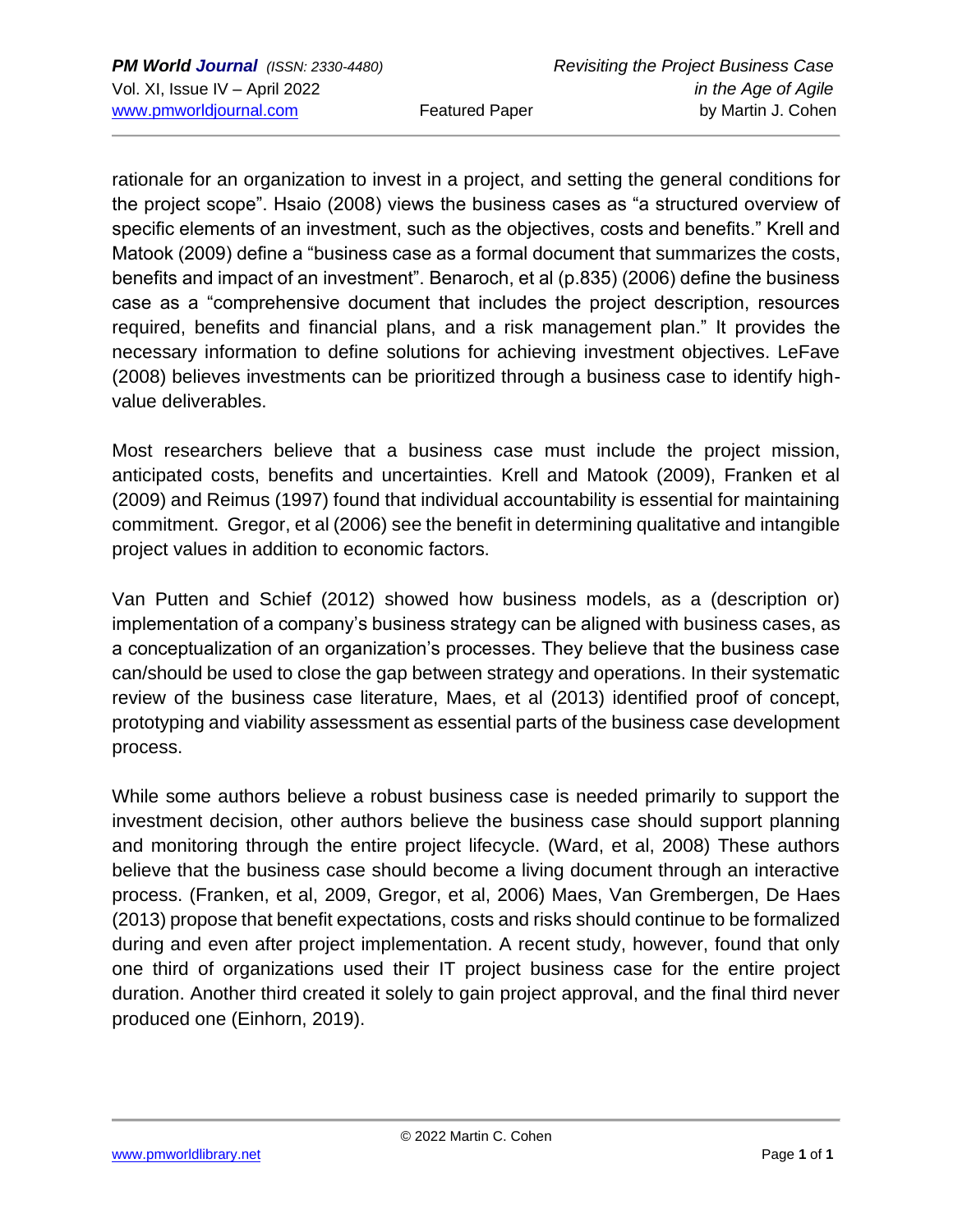rationale for an organization to invest in a project, and setting the general conditions for the project scope". Hsaio (2008) views the business cases as "a structured overview of specific elements of an investment, such as the objectives, costs and benefits." Krell and Matook (2009) define a "business case as a formal document that summarizes the costs, benefits and impact of an investment". Benaroch, et al (p.835) (2006) define the business case as a "comprehensive document that includes the project description, resources required, benefits and financial plans, and a risk management plan." It provides the necessary information to define solutions for achieving investment objectives. LeFave (2008) believes investments can be prioritized through a business case to identify highvalue deliverables.

Most researchers believe that a business case must include the project mission, anticipated costs, benefits and uncertainties. Krell and Matook (2009), Franken et al (2009) and Reimus (1997) found that individual accountability is essential for maintaining commitment. Gregor, et al (2006) see the benefit in determining qualitative and intangible project values in addition to economic factors.

Van Putten and Schief (2012) showed how business models, as a (description or) implementation of a company's business strategy can be aligned with business cases, as a conceptualization of an organization's processes. They believe that the business case can/should be used to close the gap between strategy and operations. In their systematic review of the business case literature, Maes, et al (2013) identified proof of concept, prototyping and viability assessment as essential parts of the business case development process.

While some authors believe a robust business case is needed primarily to support the investment decision, other authors believe the business case should support planning and monitoring through the entire project lifecycle. (Ward, et al, 2008) These authors believe that the business case should become a living document through an interactive process. (Franken, et al, 2009, Gregor, et al, 2006) Maes, Van Grembergen, De Haes (2013) propose that benefit expectations, costs and risks should continue to be formalized during and even after project implementation. A recent study, however, found that only one third of organizations used their IT project business case for the entire project duration. Another third created it solely to gain project approval, and the final third never produced one (Einhorn, 2019).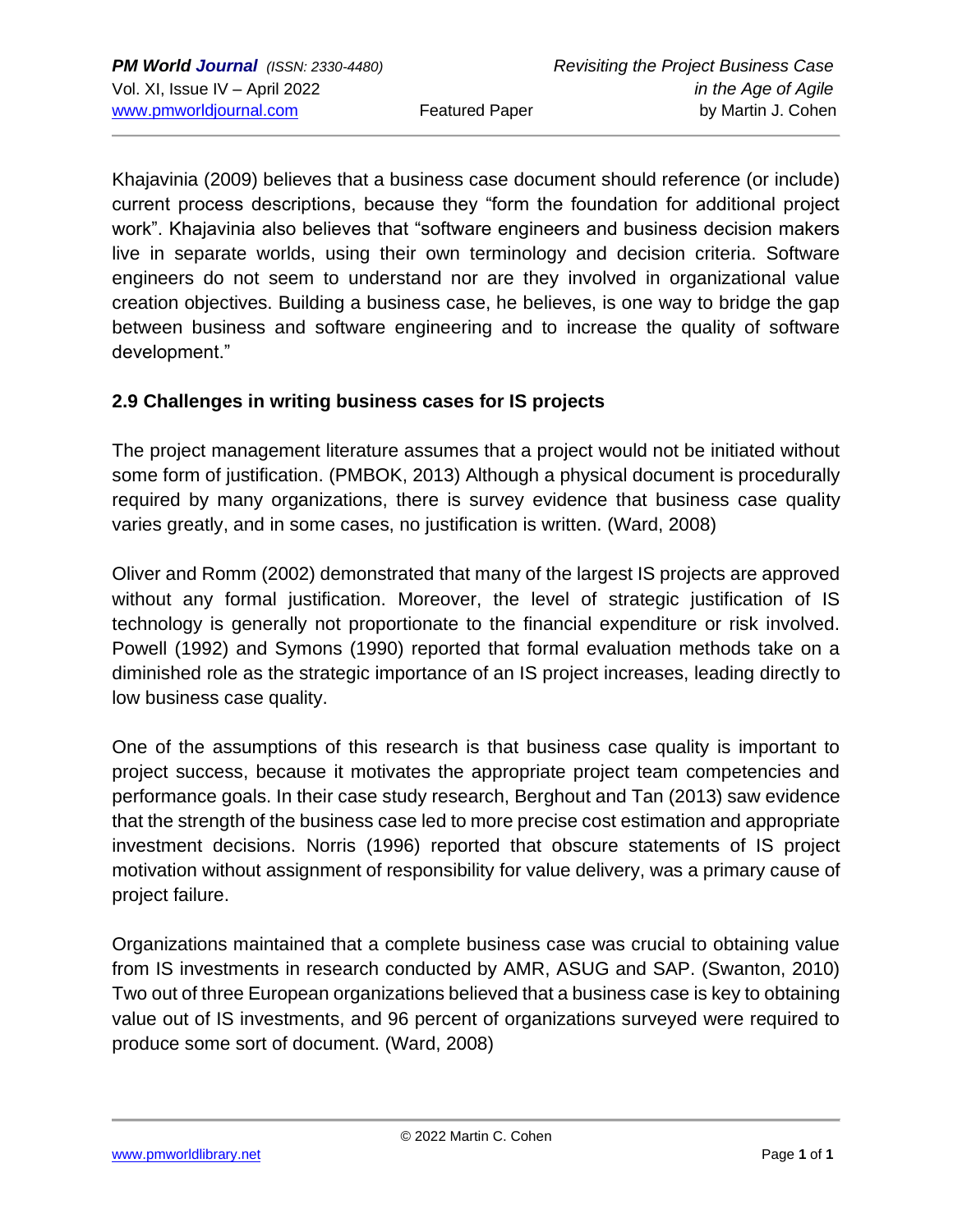Khajavinia (2009) believes that a business case document should reference (or include) current process descriptions, because they "form the foundation for additional project work". Khajavinia also believes that "software engineers and business decision makers live in separate worlds, using their own terminology and decision criteria. Software engineers do not seem to understand nor are they involved in organizational value creation objectives. Building a business case, he believes, is one way to bridge the gap between business and software engineering and to increase the quality of software development."

#### **2.9 Challenges in writing business cases for IS projects**

The project management literature assumes that a project would not be initiated without some form of justification. (PMBOK, 2013) Although a physical document is procedurally required by many organizations, there is survey evidence that business case quality varies greatly, and in some cases, no justification is written. (Ward, 2008)

Oliver and Romm (2002) demonstrated that many of the largest IS projects are approved without any formal justification. Moreover, the level of strategic justification of IS technology is generally not proportionate to the financial expenditure or risk involved. Powell (1992) and Symons (1990) reported that formal evaluation methods take on a diminished role as the strategic importance of an IS project increases, leading directly to low business case quality.

One of the assumptions of this research is that business case quality is important to project success, because it motivates the appropriate project team competencies and performance goals. In their case study research, Berghout and Tan (2013) saw evidence that the strength of the business case led to more precise cost estimation and appropriate investment decisions. Norris (1996) reported that obscure statements of IS project motivation without assignment of responsibility for value delivery, was a primary cause of project failure.

Organizations maintained that a complete business case was crucial to obtaining value from IS investments in research conducted by AMR, ASUG and SAP. (Swanton, 2010) Two out of three European organizations believed that a business case is key to obtaining value out of IS investments, and 96 percent of organizations surveyed were required to produce some sort of document. (Ward, 2008)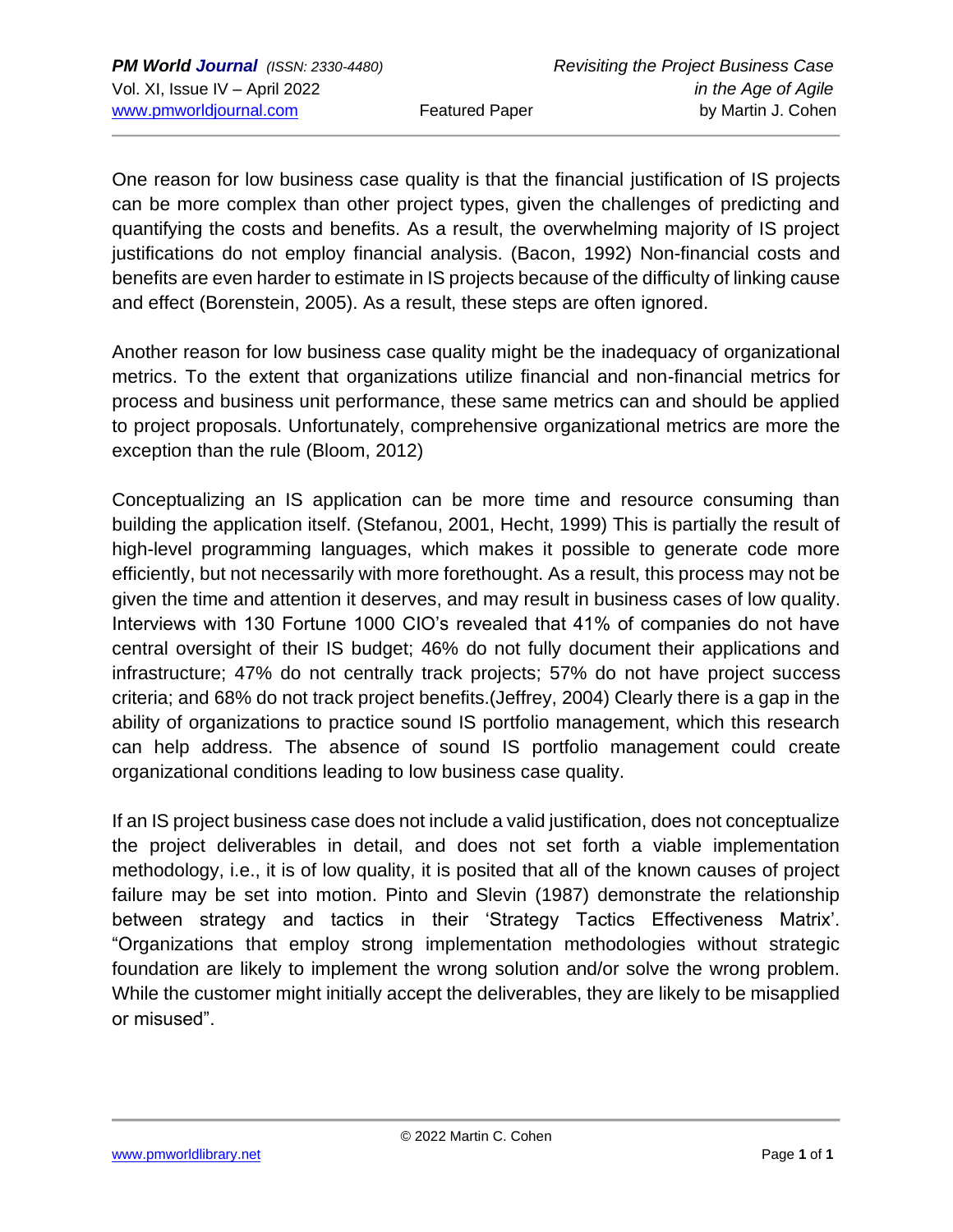One reason for low business case quality is that the financial justification of IS projects can be more complex than other project types, given the challenges of predicting and quantifying the costs and benefits. As a result, the overwhelming majority of IS project justifications do not employ financial analysis. (Bacon, 1992) Non-financial costs and benefits are even harder to estimate in IS projects because of the difficulty of linking cause and effect (Borenstein, 2005). As a result, these steps are often ignored.

Another reason for low business case quality might be the inadequacy of organizational metrics. To the extent that organizations utilize financial and non-financial metrics for process and business unit performance, these same metrics can and should be applied to project proposals. Unfortunately, comprehensive organizational metrics are more the exception than the rule (Bloom, 2012)

Conceptualizing an IS application can be more time and resource consuming than building the application itself. (Stefanou, 2001, Hecht, 1999) This is partially the result of high-level programming languages, which makes it possible to generate code more efficiently, but not necessarily with more forethought. As a result, this process may not be given the time and attention it deserves, and may result in business cases of low quality. Interviews with 130 Fortune 1000 CIO's revealed that 41% of companies do not have central oversight of their IS budget; 46% do not fully document their applications and infrastructure; 47% do not centrally track projects; 57% do not have project success criteria; and 68% do not track project benefits.(Jeffrey, 2004) Clearly there is a gap in the ability of organizations to practice sound IS portfolio management, which this research can help address. The absence of sound IS portfolio management could create organizational conditions leading to low business case quality.

If an IS project business case does not include a valid justification, does not conceptualize the project deliverables in detail, and does not set forth a viable implementation methodology, i.e., it is of low quality, it is posited that all of the known causes of project failure may be set into motion. Pinto and Slevin (1987) demonstrate the relationship between strategy and tactics in their 'Strategy Tactics Effectiveness Matrix'. "Organizations that employ strong implementation methodologies without strategic foundation are likely to implement the wrong solution and/or solve the wrong problem. While the customer might initially accept the deliverables, they are likely to be misapplied or misused".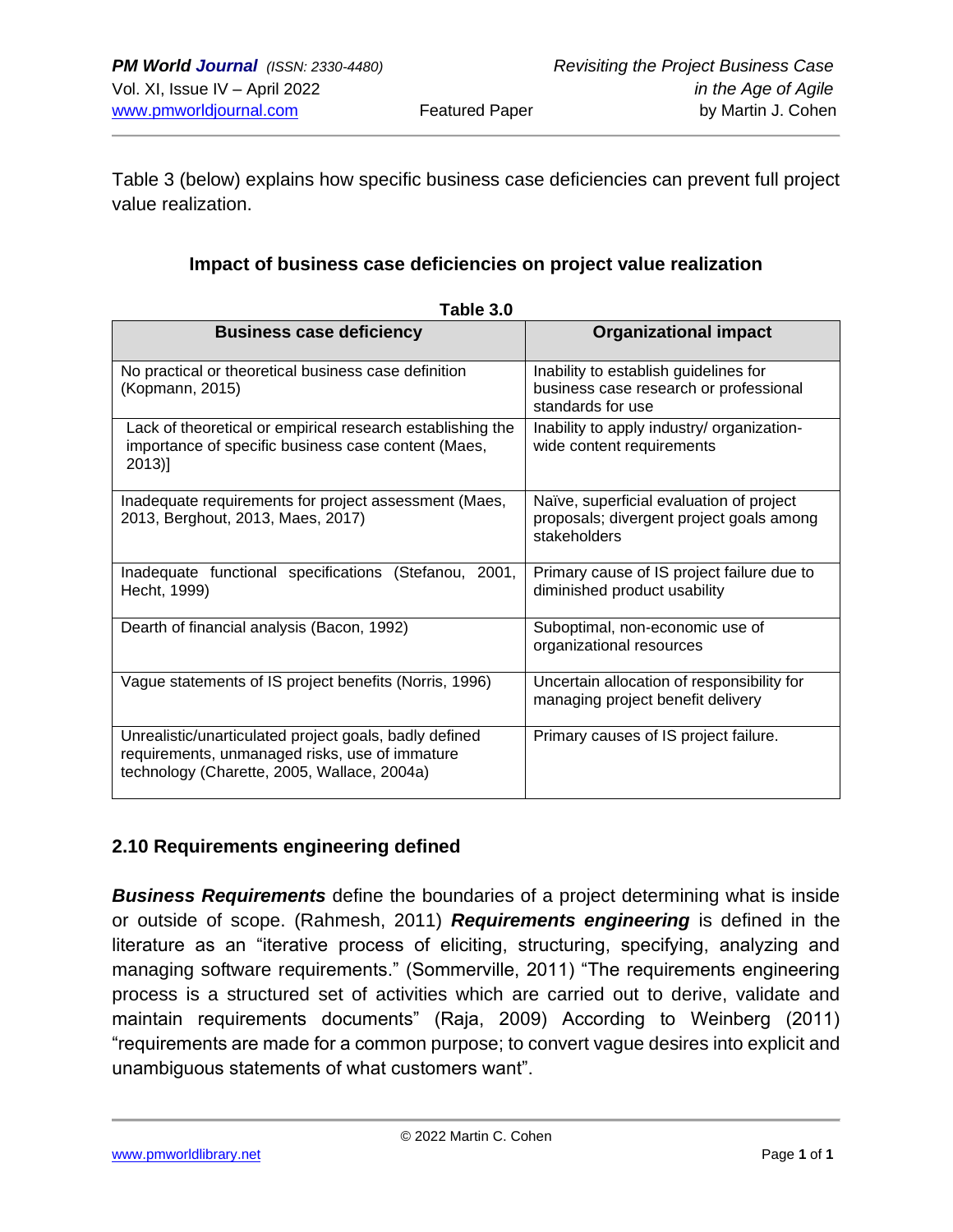Table 3 (below) explains how specific business case deficiencies can prevent full project value realization.

#### **Impact of business case deficiencies on project value realization**

| <b>Business case deficiency</b>                                                                                                                         | <b>Organizational impact</b>                                                                         |
|---------------------------------------------------------------------------------------------------------------------------------------------------------|------------------------------------------------------------------------------------------------------|
| No practical or theoretical business case definition<br>(Kopmann, 2015)                                                                                 | Inability to establish guidelines for<br>business case research or professional<br>standards for use |
| Lack of theoretical or empirical research establishing the<br>importance of specific business case content (Maes,<br>$2013$ ]                           | Inability to apply industry/ organization-<br>wide content requirements                              |
| Inadequate requirements for project assessment (Maes,<br>2013, Berghout, 2013, Maes, 2017)                                                              | Naïve, superficial evaluation of project<br>proposals; divergent project goals among<br>stakeholders |
| Inadequate functional specifications (Stefanou, 2001,<br>Hecht, 1999)                                                                                   | Primary cause of IS project failure due to<br>diminished product usability                           |
| Dearth of financial analysis (Bacon, 1992)                                                                                                              | Suboptimal, non-economic use of<br>organizational resources                                          |
| Vague statements of IS project benefits (Norris, 1996)                                                                                                  | Uncertain allocation of responsibility for<br>managing project benefit delivery                      |
| Unrealistic/unarticulated project goals, badly defined<br>requirements, unmanaged risks, use of immature<br>technology (Charette, 2005, Wallace, 2004a) | Primary causes of IS project failure.                                                                |

|  |  | Table 3 |  |  |
|--|--|---------|--|--|
|--|--|---------|--|--|

#### **2.10 Requirements engineering defined**

*Business Requirements* define the boundaries of a project determining what is inside or outside of scope. (Rahmesh, 2011) *Requirements engineering* is defined in the literature as an "iterative process of eliciting, structuring, specifying, analyzing and managing software requirements." (Sommerville, 2011) "The requirements engineering process is a structured set of activities which are carried out to derive, validate and maintain requirements documents" (Raja, 2009) According to Weinberg (2011) "requirements are made for a common purpose; to convert vague desires into explicit and unambiguous statements of what customers want".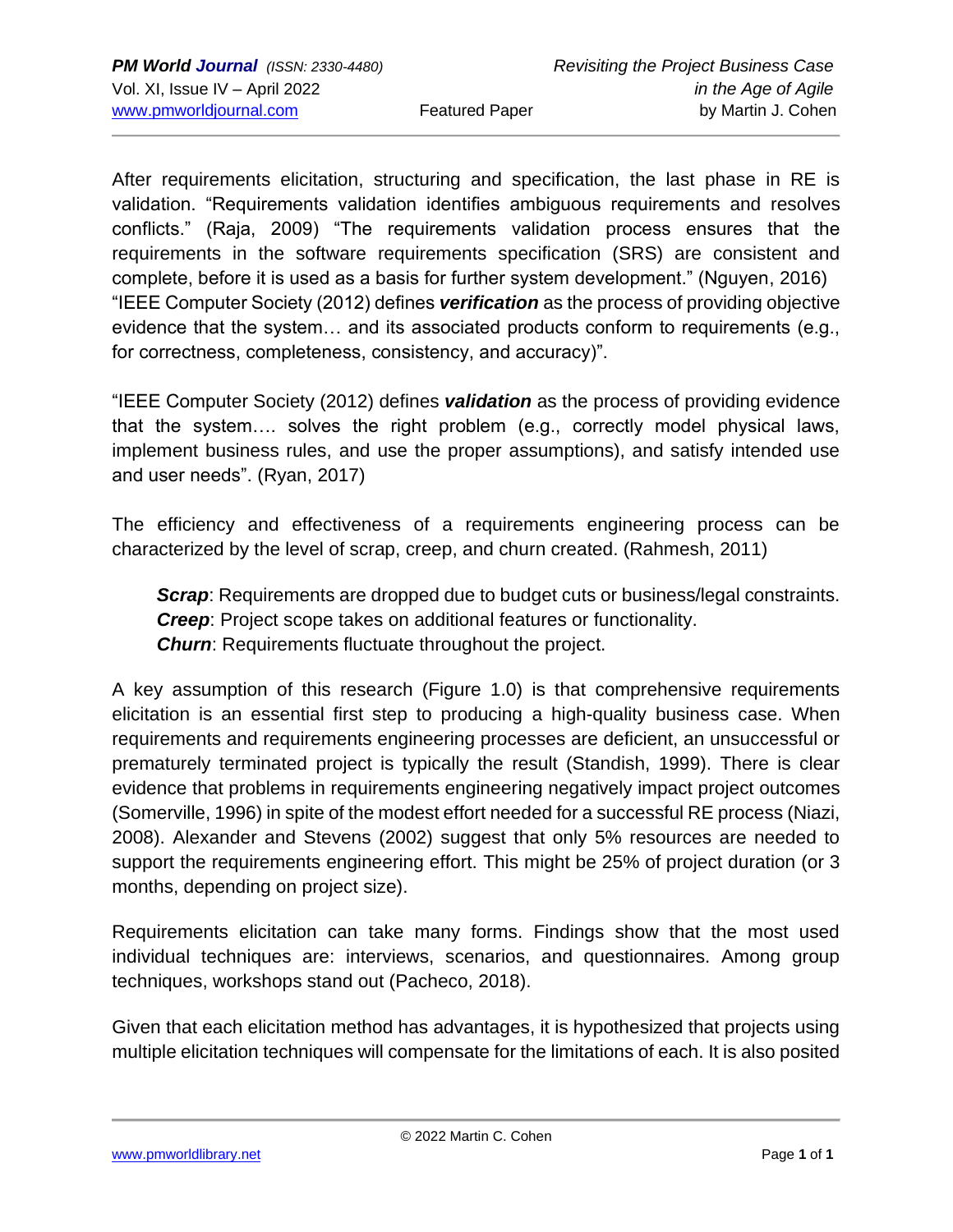After requirements elicitation, structuring and specification, the last phase in RE is validation. "Requirements validation identifies ambiguous requirements and resolves conflicts." (Raja, 2009) "The requirements validation process ensures that the requirements in the software requirements specification (SRS) are consistent and complete, before it is used as a basis for further system development." (Nguyen, 2016) "IEEE Computer Society (2012) defines *verification* as the process of providing objective evidence that the system… and its associated products conform to requirements (e.g., for correctness, completeness, consistency, and accuracy)".

"IEEE Computer Society (2012) defines *validation* as the process of providing evidence that the system…. solves the right problem (e.g., correctly model physical laws, implement business rules, and use the proper assumptions), and satisfy intended use and user needs". (Ryan, 2017)

The efficiency and effectiveness of a requirements engineering process can be characterized by the level of scrap, creep, and churn created. (Rahmesh, 2011)

**Scrap:** Requirements are dropped due to budget cuts or business/legal constraints. *Creep*: Project scope takes on additional features or functionality. *Churn:* Requirements fluctuate throughout the project.

A key assumption of this research (Figure 1.0) is that comprehensive requirements elicitation is an essential first step to producing a high-quality business case. When requirements and requirements engineering processes are deficient, an unsuccessful or prematurely terminated project is typically the result (Standish, 1999). There is clear evidence that problems in requirements engineering negatively impact project outcomes (Somerville, 1996) in spite of the modest effort needed for a successful RE process (Niazi, 2008). Alexander and Stevens (2002) suggest that only 5% resources are needed to support the requirements engineering effort. This might be 25% of project duration (or 3 months, depending on project size).

Requirements elicitation can take many forms. Findings show that the most used individual techniques are: interviews, scenarios, and questionnaires. Among group techniques, workshops stand out (Pacheco, 2018).

Given that each elicitation method has advantages, it is hypothesized that projects using multiple elicitation techniques will compensate for the limitations of each. It is also posited

[www.pmworldlibrary.net](about:blank) Page **1** of **1**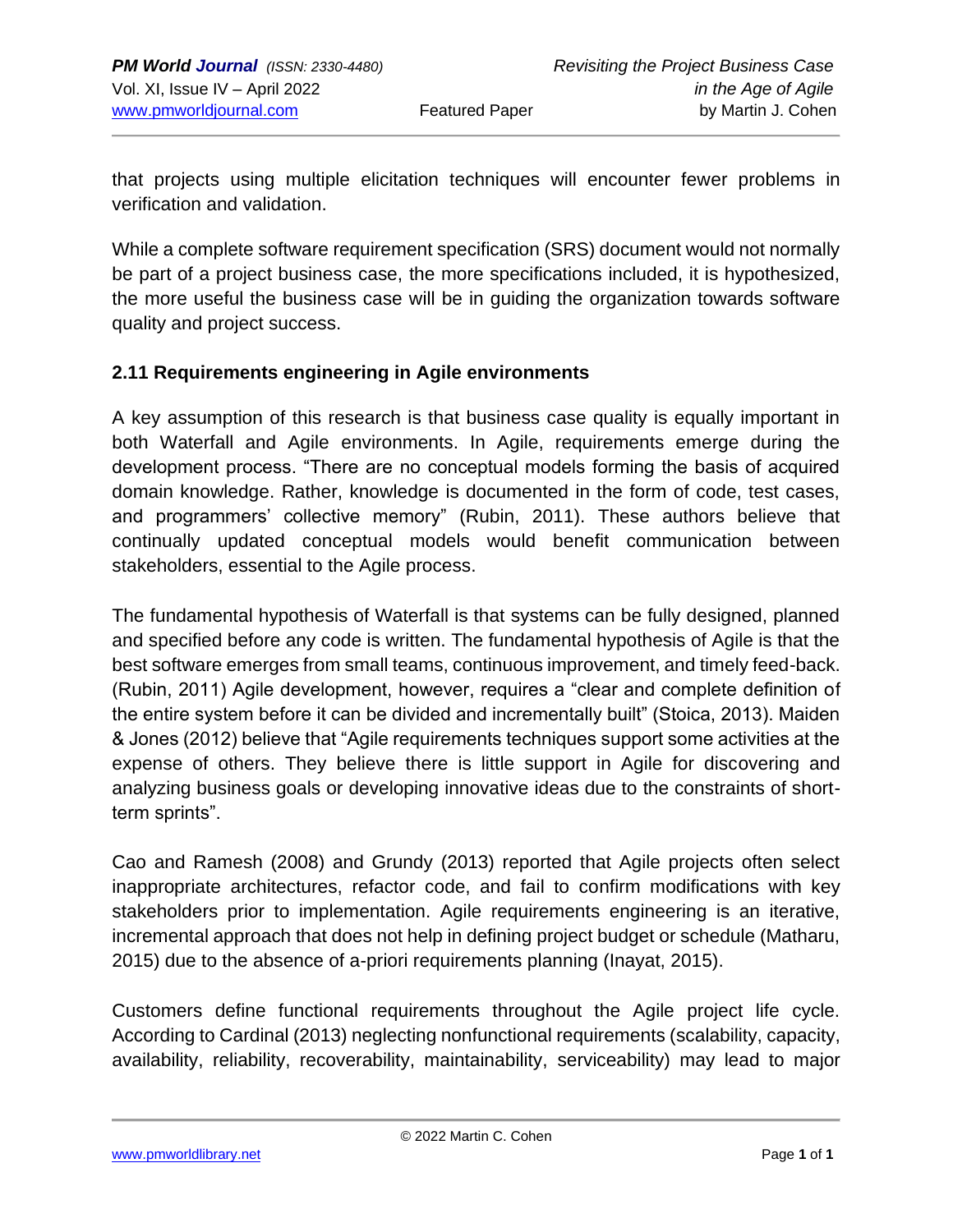that projects using multiple elicitation techniques will encounter fewer problems in verification and validation.

While a complete software requirement specification (SRS) document would not normally be part of a project business case, the more specifications included, it is hypothesized, the more useful the business case will be in guiding the organization towards software quality and project success.

#### **2.11 Requirements engineering in Agile environments**

A key assumption of this research is that business case quality is equally important in both Waterfall and Agile environments. In Agile, requirements emerge during the development process. "There are no conceptual models forming the basis of acquired domain knowledge. Rather, knowledge is documented in the form of code, test cases, and programmers' collective memory" (Rubin, 2011). These authors believe that continually updated conceptual models would benefit communication between stakeholders, essential to the Agile process.

The fundamental hypothesis of Waterfall is that systems can be fully designed, planned and specified before any code is written. The fundamental hypothesis of Agile is that the best software emerges from small teams, continuous improvement, and timely feed-back. (Rubin, 2011) Agile development, however, requires a "clear and complete definition of the entire system before it can be divided and incrementally built" (Stoica, 2013). Maiden & Jones (2012) believe that "Agile requirements techniques support some activities at the expense of others. They believe there is little support in Agile for discovering and analyzing business goals or developing innovative ideas due to the constraints of shortterm sprints".

Cao and Ramesh (2008) and Grundy (2013) reported that Agile projects often select inappropriate architectures, refactor code, and fail to confirm modifications with key stakeholders prior to implementation. Agile requirements engineering is an iterative, incremental approach that does not help in defining project budget or schedule (Matharu, 2015) due to the absence of a-priori requirements planning (Inayat, 2015).

Customers define functional requirements throughout the Agile project life cycle. According to Cardinal (2013) neglecting nonfunctional requirements (scalability, capacity, availability, reliability, recoverability, maintainability, serviceability) may lead to major

[www.pmworldlibrary.net](about:blank) Page **1** of **1**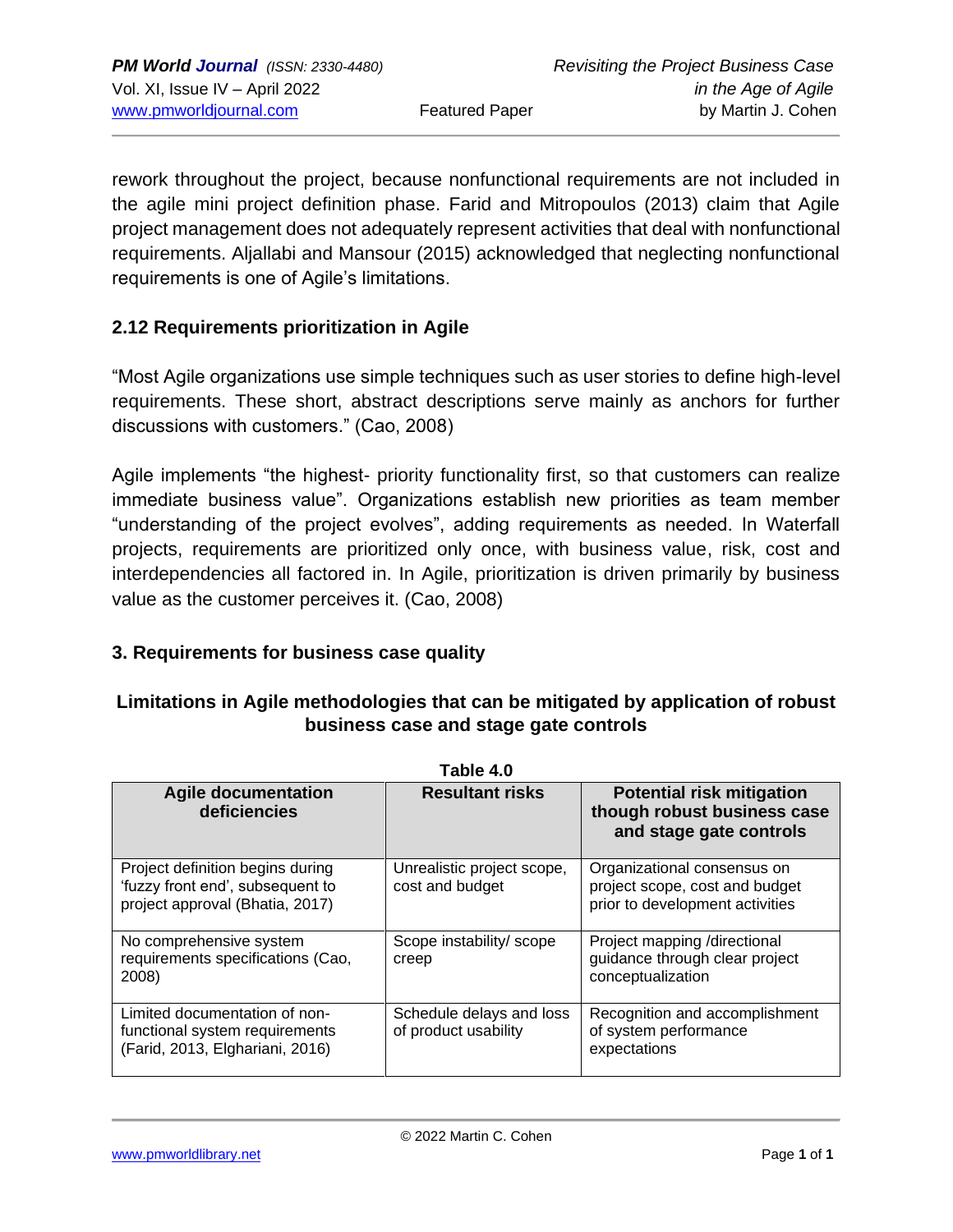rework throughout the project, because nonfunctional requirements are not included in the agile mini project definition phase. Farid and Mitropoulos (2013) claim that Agile project management does not adequately represent activities that deal with nonfunctional requirements. Aljallabi and Mansour (2015) acknowledged that neglecting nonfunctional requirements is one of Agile's limitations.

#### **2.12 Requirements prioritization in Agile**

"Most Agile organizations use simple techniques such as user stories to define high-level requirements. These short, abstract descriptions serve mainly as anchors for further discussions with customers." (Cao, 2008)

Agile implements "the highest- priority functionality first, so that customers can realize immediate business value". Organizations establish new priorities as team member "understanding of the project evolves", adding requirements as needed. In Waterfall projects, requirements are prioritized only once, with business value, risk, cost and interdependencies all factored in. In Agile, prioritization is driven primarily by business value as the customer perceives it. (Cao, 2008)

#### **3. Requirements for business case quality**

#### **Limitations in Agile methodologies that can be mitigated by application of robust business case and stage gate controls**

| Table 4.0                                                                                               |                                                  |                                                                                                  |  |
|---------------------------------------------------------------------------------------------------------|--------------------------------------------------|--------------------------------------------------------------------------------------------------|--|
| <b>Agile documentation</b><br>deficiencies                                                              | <b>Resultant risks</b>                           | <b>Potential risk mitigation</b><br>though robust business case<br>and stage gate controls       |  |
| Project definition begins during<br>'fuzzy front end', subsequent to<br>project approval (Bhatia, 2017) | Unrealistic project scope,<br>cost and budget    | Organizational consensus on<br>project scope, cost and budget<br>prior to development activities |  |
| No comprehensive system<br>requirements specifications (Cao,<br>2008)                                   | Scope instability/scope<br>creep                 | Project mapping /directional<br>guidance through clear project<br>conceptualization              |  |
| Limited documentation of non-<br>functional system requirements<br>(Farid, 2013, Elghariani, 2016)      | Schedule delays and loss<br>of product usability | Recognition and accomplishment<br>of system performance<br>expectations                          |  |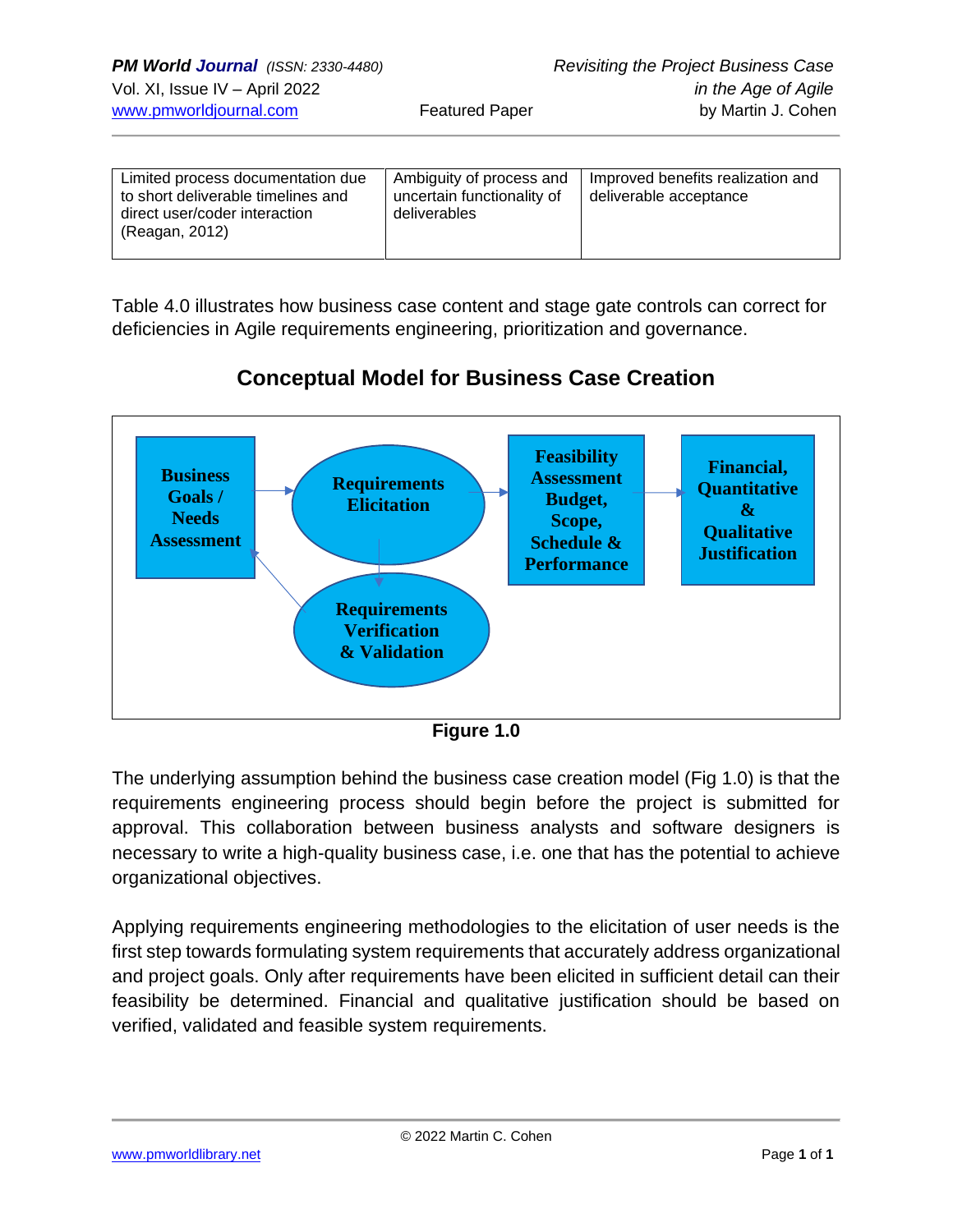| Limited process documentation due<br>to short deliverable timelines and<br>direct user/coder interaction<br>(Reagan, 2012) | Ambiguity of process and<br>uncertain functionality of<br>deliverables | Improved benefits realization and<br>deliverable acceptance |
|----------------------------------------------------------------------------------------------------------------------------|------------------------------------------------------------------------|-------------------------------------------------------------|
|----------------------------------------------------------------------------------------------------------------------------|------------------------------------------------------------------------|-------------------------------------------------------------|

Table 4.0 illustrates how business case content and stage gate controls can correct for deficiencies in Agile requirements engineering, prioritization and governance.



# **Conceptual Model for Business Case Creation**

**Figure 1.0**

The underlying assumption behind the business case creation model (Fig 1.0) is that the requirements engineering process should begin before the project is submitted for approval. This collaboration between business analysts and software designers is necessary to write a high-quality business case, i.e. one that has the potential to achieve organizational objectives.

Applying requirements engineering methodologies to the elicitation of user needs is the first step towards formulating system requirements that accurately address organizational and project goals. Only after requirements have been elicited in sufficient detail can their feasibility be determined. Financial and qualitative justification should be based on verified, validated and feasible system requirements.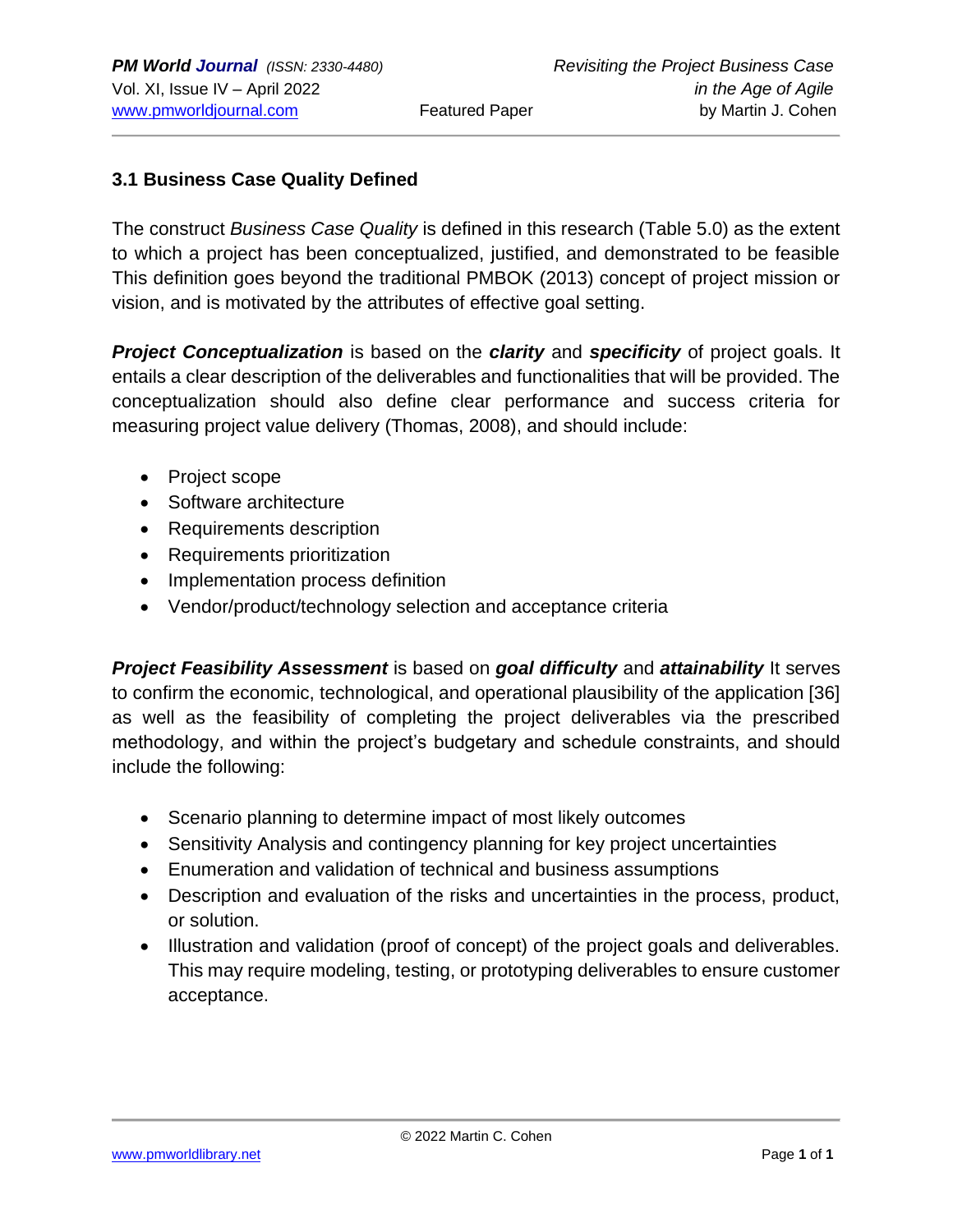#### **3.1 Business Case Quality Defined**

The construct *Business Case Quality* is defined in this research (Table 5.0) as the extent to which a project has been conceptualized, justified, and demonstrated to be feasible This definition goes beyond the traditional PMBOK (2013) concept of project mission or vision, and is motivated by the attributes of effective goal setting.

*Project Conceptualization* is based on the *clarity* and *specificity* of project goals. It entails a clear description of the deliverables and functionalities that will be provided. The conceptualization should also define clear performance and success criteria for measuring project value delivery (Thomas, 2008), and should include:

- Project scope
- Software architecture
- Requirements description
- Requirements prioritization
- Implementation process definition
- Vendor/product/technology selection and acceptance criteria

*Project Feasibility Assessment* is based on *goal difficulty* and *attainability* It serves to confirm the economic, technological, and operational plausibility of the application [36] as well as the feasibility of completing the project deliverables via the prescribed methodology, and within the project's budgetary and schedule constraints, and should include the following:

- Scenario planning to determine impact of most likely outcomes
- Sensitivity Analysis and contingency planning for key project uncertainties
- Enumeration and validation of technical and business assumptions
- Description and evaluation of the risks and uncertainties in the process, product, or solution.
- Illustration and validation (proof of concept) of the project goals and deliverables. This may require modeling, testing, or prototyping deliverables to ensure customer acceptance.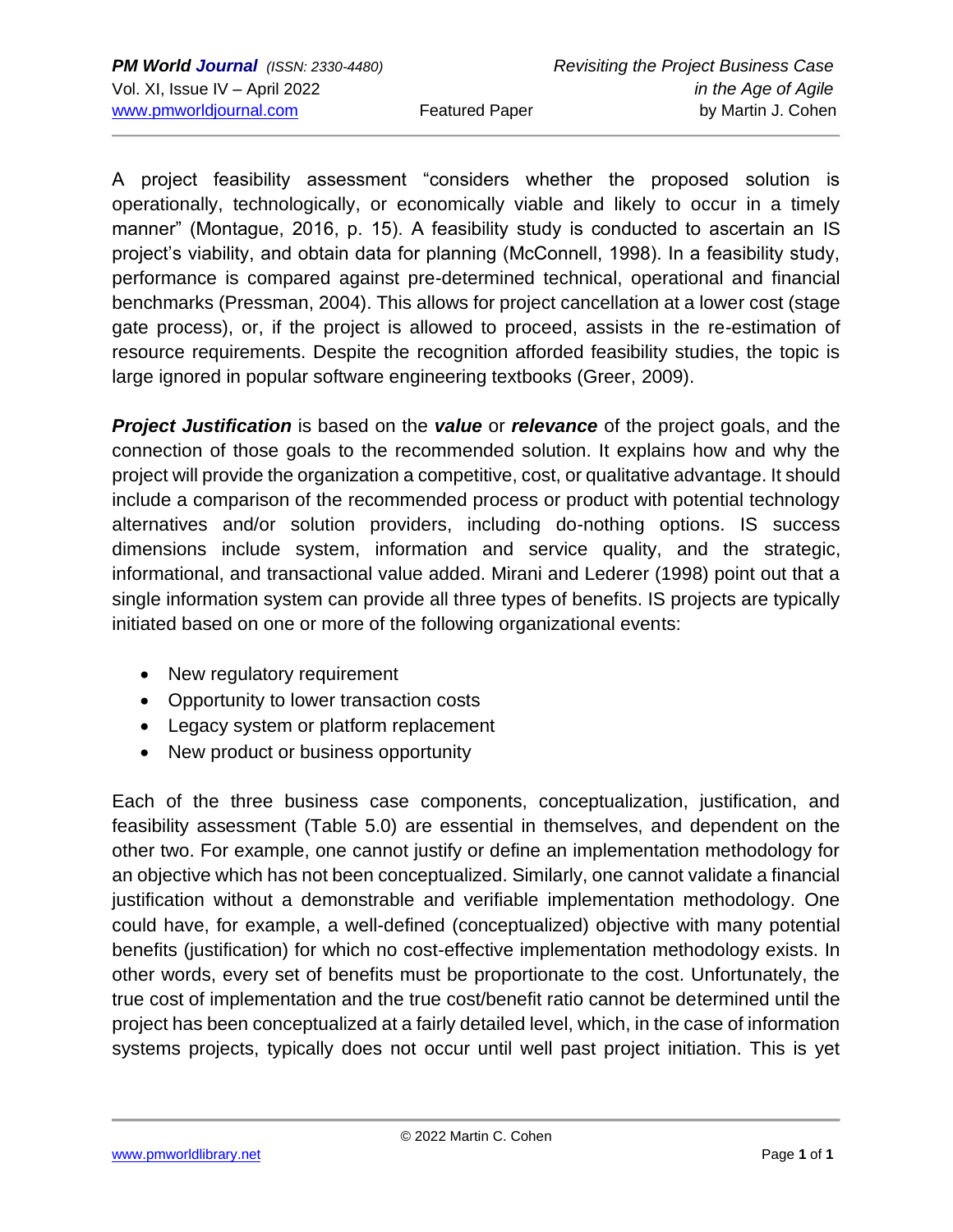A project feasibility assessment "considers whether the proposed solution is operationally, technologically, or economically viable and likely to occur in a timely manner" (Montague, 2016, p. 15). A feasibility study is conducted to ascertain an IS project's viability, and obtain data for planning (McConnell, 1998). In a feasibility study, performance is compared against pre-determined technical, operational and financial benchmarks (Pressman, 2004). This allows for project cancellation at a lower cost (stage gate process), or, if the project is allowed to proceed, assists in the re-estimation of resource requirements. Despite the recognition afforded feasibility studies, the topic is large ignored in popular software engineering textbooks (Greer, 2009).

*Project Justification* is based on the *value* or *relevance* of the project goals, and the connection of those goals to the recommended solution. It explains how and why the project will provide the organization a competitive, cost, or qualitative advantage. It should include a comparison of the recommended process or product with potential technology alternatives and/or solution providers, including do-nothing options. IS success dimensions include system, information and service quality, and the strategic, informational, and transactional value added. Mirani and Lederer (1998) point out that a single information system can provide all three types of benefits. IS projects are typically initiated based on one or more of the following organizational events:

- New regulatory requirement
- Opportunity to lower transaction costs
- Legacy system or platform replacement
- New product or business opportunity

Each of the three business case components, conceptualization, justification, and feasibility assessment (Table 5.0) are essential in themselves, and dependent on the other two. For example, one cannot justify or define an implementation methodology for an objective which has not been conceptualized. Similarly, one cannot validate a financial justification without a demonstrable and verifiable implementation methodology. One could have, for example, a well-defined (conceptualized) objective with many potential benefits (justification) for which no cost-effective implementation methodology exists. In other words, every set of benefits must be proportionate to the cost. Unfortunately, the true cost of implementation and the true cost/benefit ratio cannot be determined until the project has been conceptualized at a fairly detailed level, which, in the case of information systems projects, typically does not occur until well past project initiation. This is yet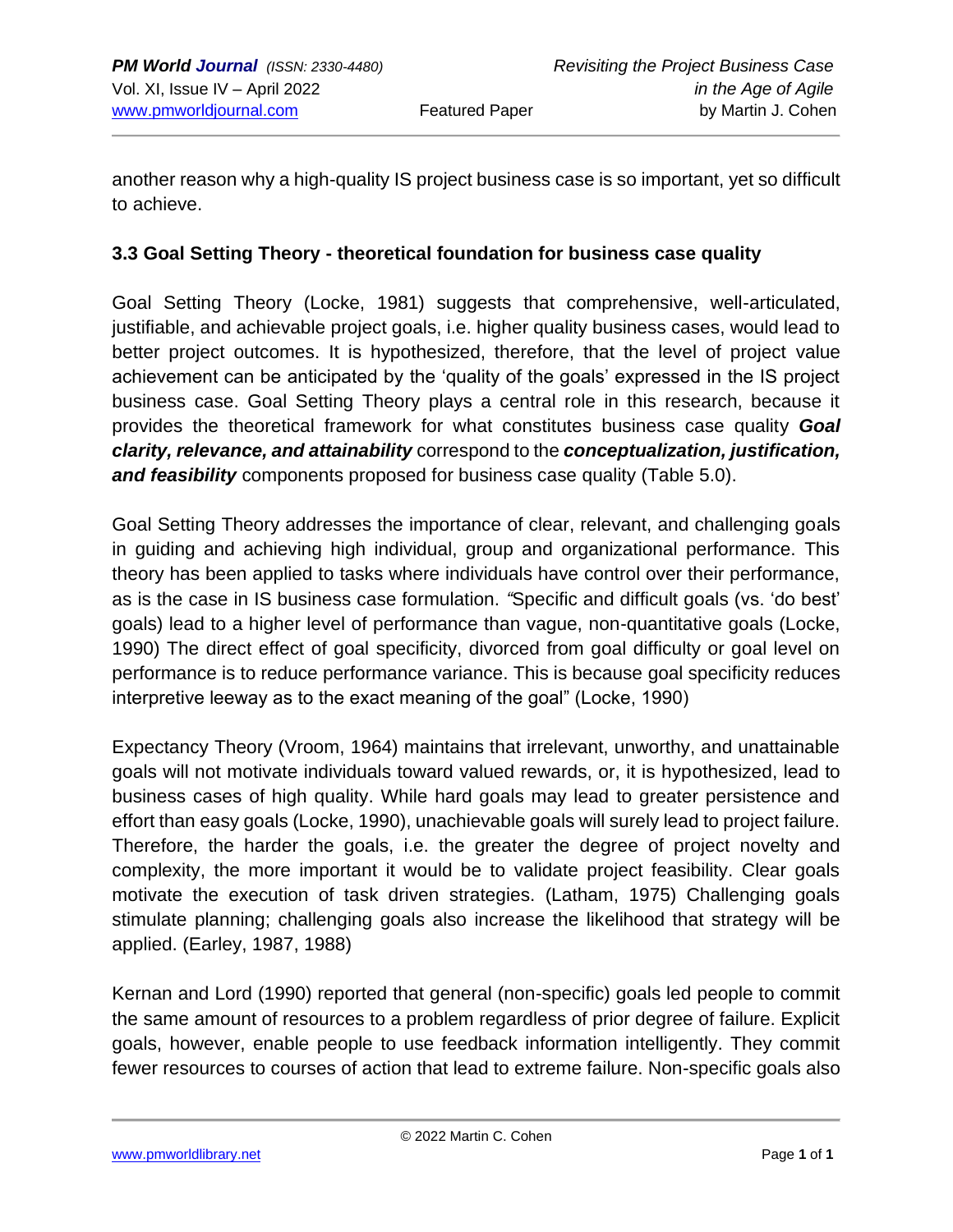another reason why a high-quality IS project business case is so important, yet so difficult to achieve.

#### **3.3 Goal Setting Theory - theoretical foundation for business case quality**

Goal Setting Theory (Locke, 1981) suggests that comprehensive, well-articulated, justifiable, and achievable project goals, i.e. higher quality business cases, would lead to better project outcomes. It is hypothesized, therefore, that the level of project value achievement can be anticipated by the 'quality of the goals' expressed in the IS project business case. Goal Setting Theory plays a central role in this research, because it provides the theoretical framework for what constitutes business case quality *Goal clarity, relevance, and attainability* correspond to the *conceptualization, justification, and feasibility* components proposed for business case quality (Table 5.0).

Goal Setting Theory addresses the importance of clear, relevant, and challenging goals in guiding and achieving high individual, group and organizational performance. This theory has been applied to tasks where individuals have control over their performance, as is the case in IS business case formulation. *"*Specific and difficult goals (vs. 'do best' goals) lead to a higher level of performance than vague, non-quantitative goals (Locke, 1990) The direct effect of goal specificity, divorced from goal difficulty or goal level on performance is to reduce performance variance. This is because goal specificity reduces interpretive leeway as to the exact meaning of the goal" (Locke, 1990)

Expectancy Theory (Vroom, 1964) maintains that irrelevant, unworthy, and unattainable goals will not motivate individuals toward valued rewards, or, it is hypothesized, lead to business cases of high quality. While hard goals may lead to greater persistence and effort than easy goals (Locke, 1990), unachievable goals will surely lead to project failure. Therefore, the harder the goals, i.e. the greater the degree of project novelty and complexity, the more important it would be to validate project feasibility. Clear goals motivate the execution of task driven strategies. (Latham, 1975) Challenging goals stimulate planning; challenging goals also increase the likelihood that strategy will be applied. (Earley, 1987, 1988)

Kernan and Lord (1990) reported that general (non-specific) goals led people to commit the same amount of resources to a problem regardless of prior degree of failure. Explicit goals, however, enable people to use feedback information intelligently. They commit fewer resources to courses of action that lead to extreme failure. Non-specific goals also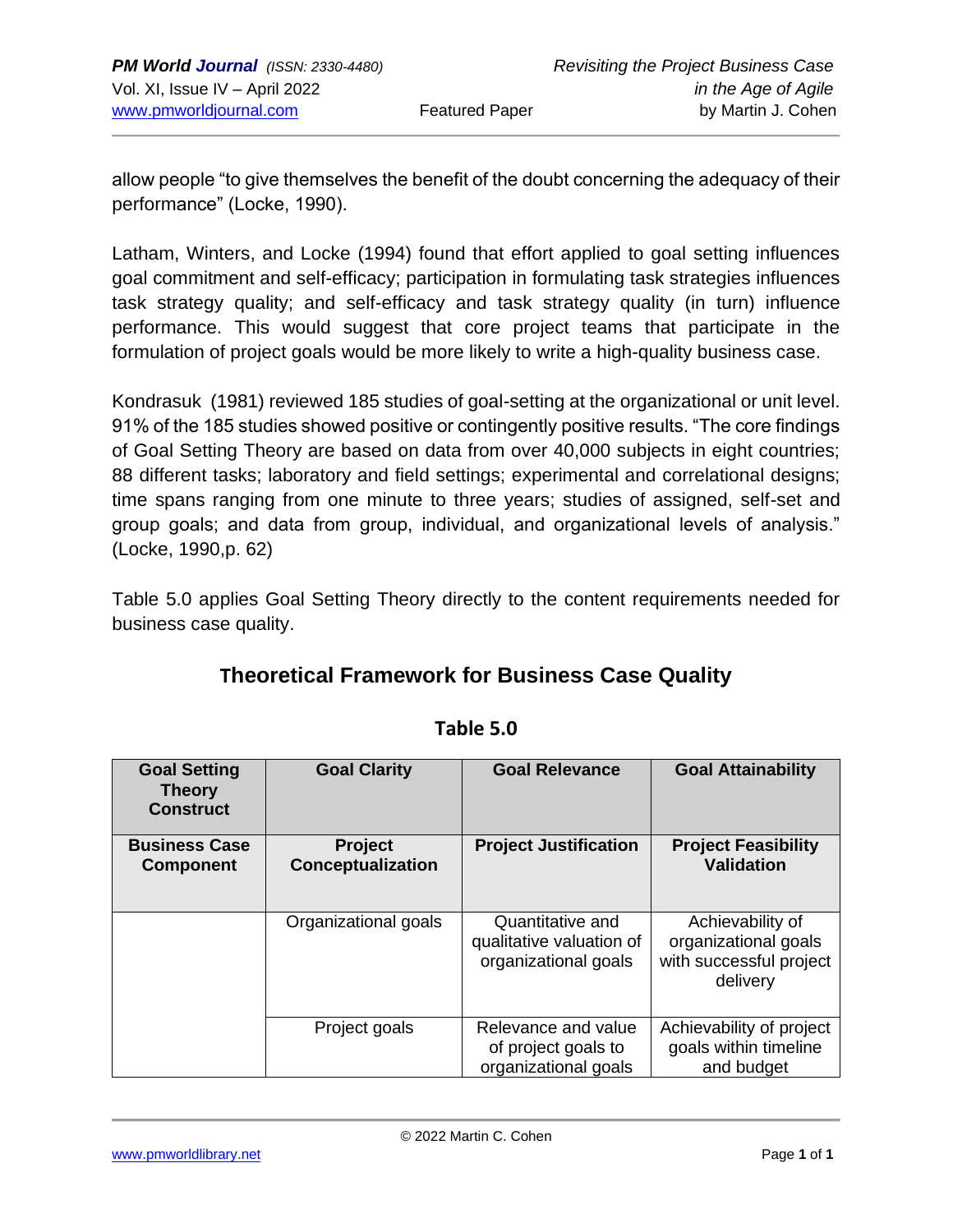allow people "to give themselves the benefit of the doubt concerning the adequacy of their performance" (Locke, 1990).

Latham, Winters, and Locke (1994) found that effort applied to goal setting influences goal commitment and self-efficacy; participation in formulating task strategies influences task strategy quality; and self-efficacy and task strategy quality (in turn) influence performance. This would suggest that core project teams that participate in the formulation of project goals would be more likely to write a high-quality business case.

Kondrasuk (1981) reviewed 185 studies of goal-setting at the organizational or unit level. 91% of the 185 studies showed positive or contingently positive results. "The core findings of Goal Setting Theory are based on data from over 40,000 subjects in eight countries; 88 different tasks; laboratory and field settings; experimental and correlational designs; time spans ranging from one minute to three years; studies of assigned, self-set and group goals; and data from group, individual, and organizational levels of analysis." (Locke, 1990,p. 62)

Table 5.0 applies Goal Setting Theory directly to the content requirements needed for business case quality.

# **Theoretical Framework for Business Case Quality**

| <b>Goal Setting</b><br><b>Theory</b><br><b>Construct</b> | <b>Goal Clarity</b>                 | <b>Goal Relevance</b>                                                | <b>Goal Attainability</b>                                                       |
|----------------------------------------------------------|-------------------------------------|----------------------------------------------------------------------|---------------------------------------------------------------------------------|
| <b>Business Case</b><br><b>Component</b>                 | <b>Project</b><br>Conceptualization | <b>Project Justification</b>                                         | <b>Project Feasibility</b><br><b>Validation</b>                                 |
|                                                          | Organizational goals                | Quantitative and<br>qualitative valuation of<br>organizational goals | Achievability of<br>organizational goals<br>with successful project<br>delivery |
|                                                          | Project goals                       | Relevance and value<br>of project goals to<br>organizational goals   | Achievability of project<br>goals within timeline<br>and budget                 |

#### **Table 5.0**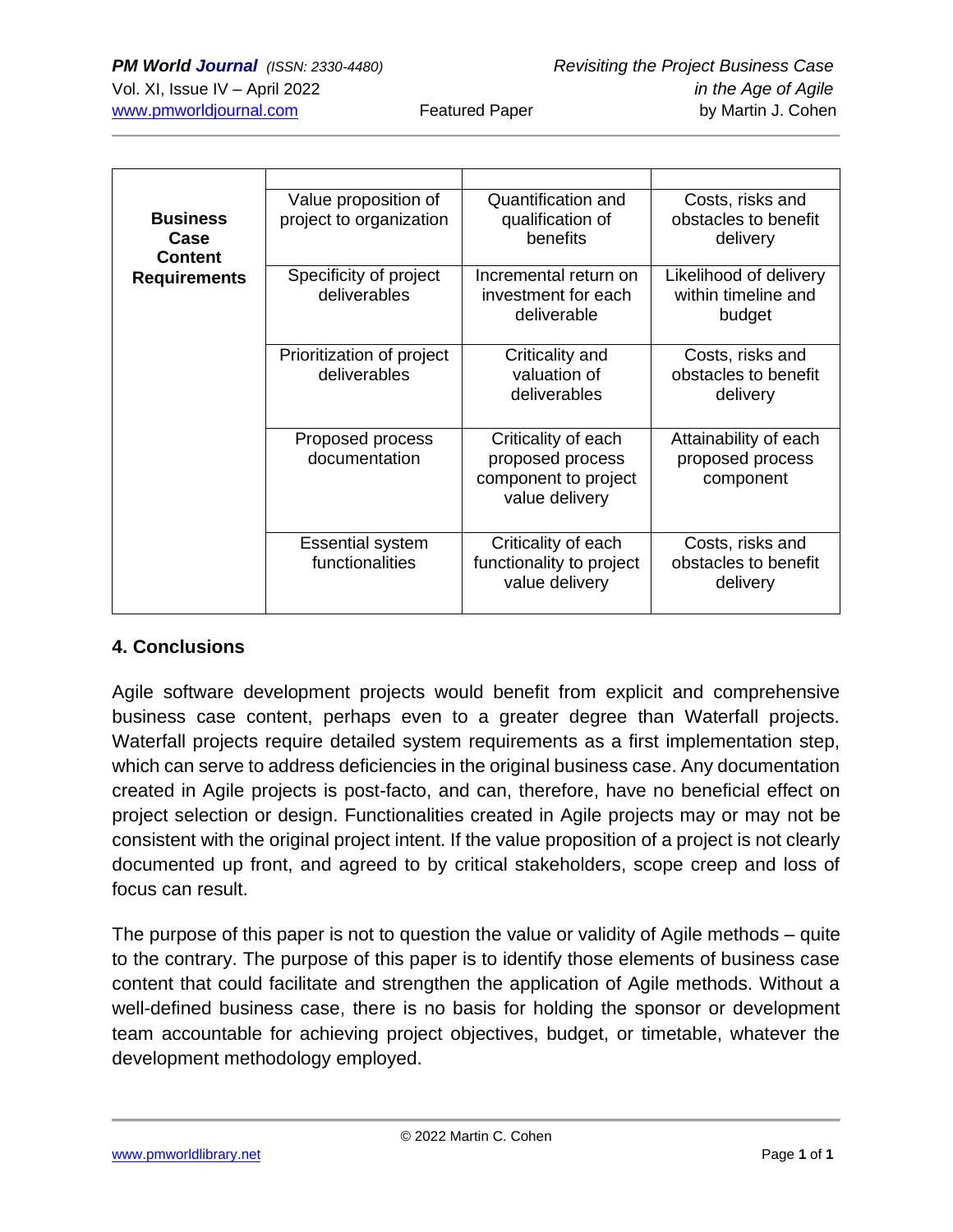| <b>Business</b><br>Case<br><b>Content</b> | Value proposition of<br>project to organization | Quantification and<br>qualification of<br>benefits                                | Costs, risks and<br>obstacles to benefit<br>delivery    |
|-------------------------------------------|-------------------------------------------------|-----------------------------------------------------------------------------------|---------------------------------------------------------|
| <b>Requirements</b>                       | Specificity of project<br>deliverables          | Incremental return on<br>investment for each<br>deliverable                       | Likelihood of delivery<br>within timeline and<br>budget |
|                                           | Prioritization of project<br>deliverables       | Criticality and<br>valuation of<br>deliverables                                   | Costs, risks and<br>obstacles to benefit<br>delivery    |
|                                           | Proposed process<br>documentation               | Criticality of each<br>proposed process<br>component to project<br>value delivery | Attainability of each<br>proposed process<br>component  |
|                                           | <b>Essential system</b><br>functionalities      | Criticality of each<br>functionality to project<br>value delivery                 | Costs, risks and<br>obstacles to benefit<br>delivery    |

#### **4. Conclusions**

Agile software development projects would benefit from explicit and comprehensive business case content, perhaps even to a greater degree than Waterfall projects. Waterfall projects require detailed system requirements as a first implementation step, which can serve to address deficiencies in the original business case. Any documentation created in Agile projects is post-facto, and can, therefore, have no beneficial effect on project selection or design. Functionalities created in Agile projects may or may not be consistent with the original project intent. If the value proposition of a project is not clearly documented up front, and agreed to by critical stakeholders, scope creep and loss of focus can result.

The purpose of this paper is not to question the value or validity of Agile methods – quite to the contrary. The purpose of this paper is to identify those elements of business case content that could facilitate and strengthen the application of Agile methods. Without a well-defined business case, there is no basis for holding the sponsor or development team accountable for achieving project objectives, budget, or timetable, whatever the development methodology employed.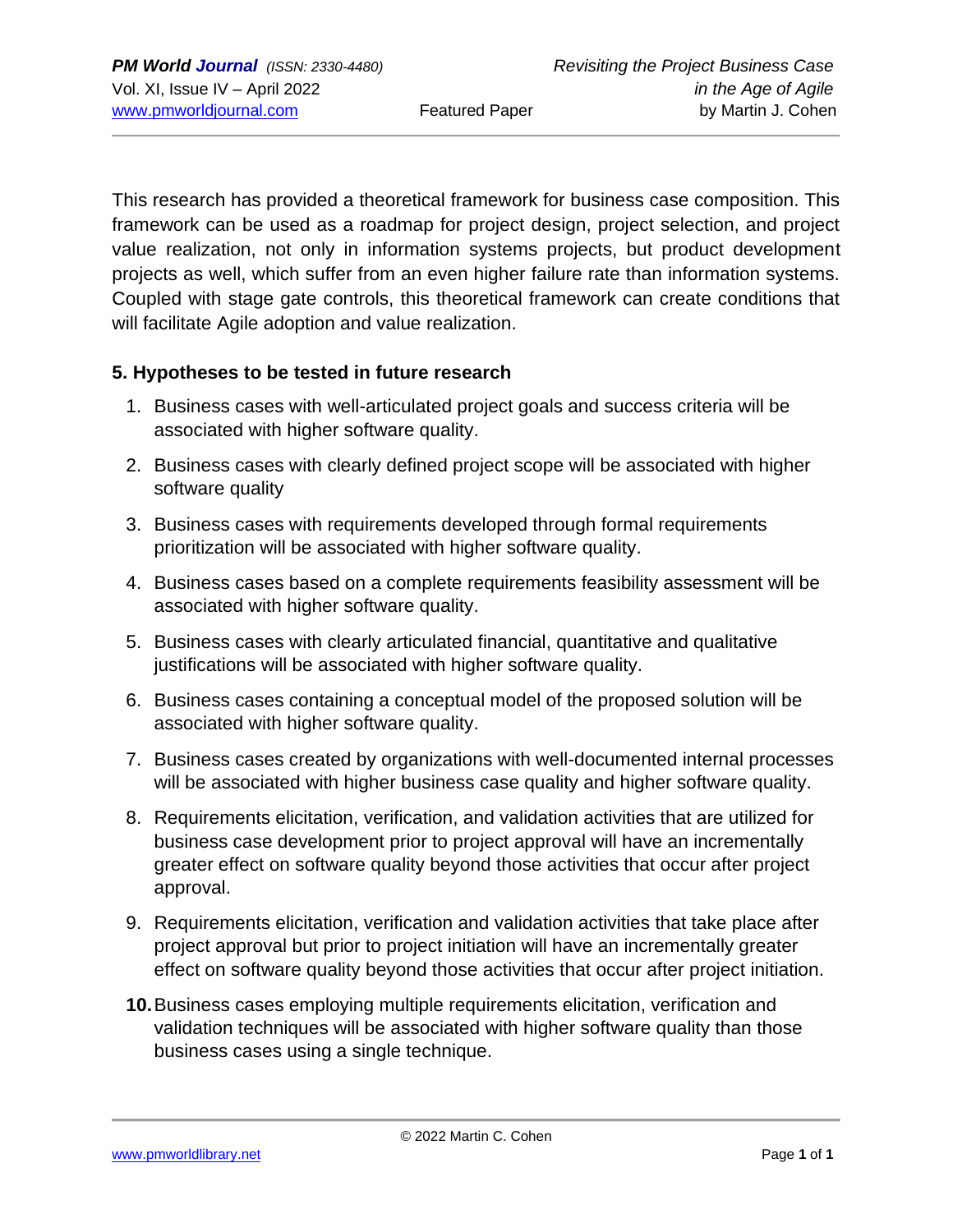This research has provided a theoretical framework for business case composition. This framework can be used as a roadmap for project design, project selection, and project value realization, not only in information systems projects, but product development projects as well, which suffer from an even higher failure rate than information systems. Coupled with stage gate controls, this theoretical framework can create conditions that will facilitate Agile adoption and value realization.

#### **5. Hypotheses to be tested in future research**

- 1. Business cases with well-articulated project goals and success criteria will be associated with higher software quality.
- 2. Business cases with clearly defined project scope will be associated with higher software quality
- 3. Business cases with requirements developed through formal requirements prioritization will be associated with higher software quality.
- 4. Business cases based on a complete requirements feasibility assessment will be associated with higher software quality.
- 5. Business cases with clearly articulated financial, quantitative and qualitative justifications will be associated with higher software quality.
- 6. Business cases containing a conceptual model of the proposed solution will be associated with higher software quality.
- 7. Business cases created by organizations with well-documented internal processes will be associated with higher business case quality and higher software quality.
- 8. Requirements elicitation, verification, and validation activities that are utilized for business case development prior to project approval will have an incrementally greater effect on software quality beyond those activities that occur after project approval.
- 9. Requirements elicitation, verification and validation activities that take place after project approval but prior to project initiation will have an incrementally greater effect on software quality beyond those activities that occur after project initiation.
- **10.**Business cases employing multiple requirements elicitation, verification and validation techniques will be associated with higher software quality than those business cases using a single technique.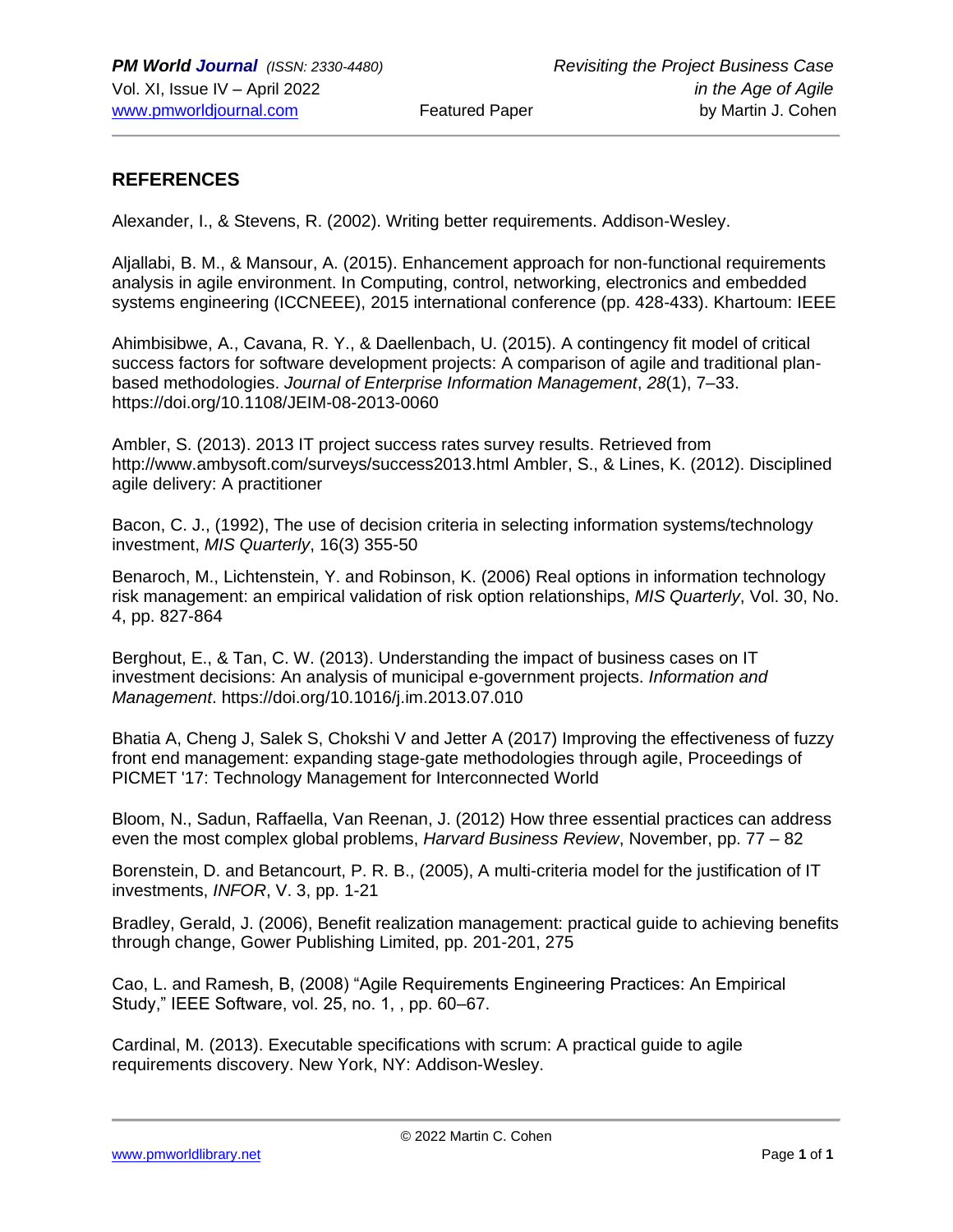#### **REFERENCES**

Alexander, I., & Stevens, R. (2002). Writing better requirements. Addison-Wesley.

Aljallabi, B. M., & Mansour, A. (2015). Enhancement approach for non-functional requirements analysis in agile environment. In Computing, control, networking, electronics and embedded systems engineering (ICCNEEE), 2015 international conference (pp. 428-433). Khartoum: IEEE

Ahimbisibwe, A., Cavana, R. Y., & Daellenbach, U. (2015). A contingency fit model of critical success factors for software development projects: A comparison of agile and traditional planbased methodologies. *Journal of Enterprise Information Management*, *28*(1), 7–33. https://doi.org/10.1108/JEIM-08-2013-0060

Ambler, S. (2013). 2013 IT project success rates survey results. Retrieved from http://www.ambysoft.com/surveys/success2013.html Ambler, S., & Lines, K. (2012). Disciplined agile delivery: A practitioner

Bacon, C. J., (1992), The use of decision criteria in selecting information systems/technology investment, *MIS Quarterly*, 16(3) 355-50

Benaroch, M., Lichtenstein, Y. and Robinson, K. (2006) Real options in information technology risk management: an empirical validation of risk option relationships, *MIS Quarterly*, Vol. 30, No. 4, pp. 827-864

Berghout, E., & Tan, C. W. (2013). Understanding the impact of business cases on IT investment decisions: An analysis of municipal e-government projects. *Information and Management*. https://doi.org/10.1016/j.im.2013.07.010

Bhatia A, Cheng J, Salek S, Chokshi V and Jetter A (2017) Improving the effectiveness of fuzzy front end management: expanding stage-gate methodologies through agile, Proceedings of PICMET '17: Technology Management for Interconnected World

Bloom, N., Sadun, Raffaella, Van Reenan, J. (2012) How three essential practices can address even the most complex global problems, *Harvard Business Review*, November, pp. 77 – 82

Borenstein, D. and Betancourt, P. R. B., (2005), A multi-criteria model for the justification of IT investments, *INFOR*, V. 3, pp. 1-21

Bradley, Gerald, J. (2006), Benefit realization management: practical guide to achieving benefits through change, Gower Publishing Limited, pp. 201-201, 275

Cao, L. and Ramesh, B, (2008) "Agile Requirements Engineering Practices: An Empirical Study," IEEE Software, vol. 25, no. 1, , pp. 60–67.

Cardinal, M. (2013). Executable specifications with scrum: A practical guide to agile requirements discovery. New York, NY: Addison-Wesley.

[www.pmworldlibrary.net](about:blank) Page **1** of **1**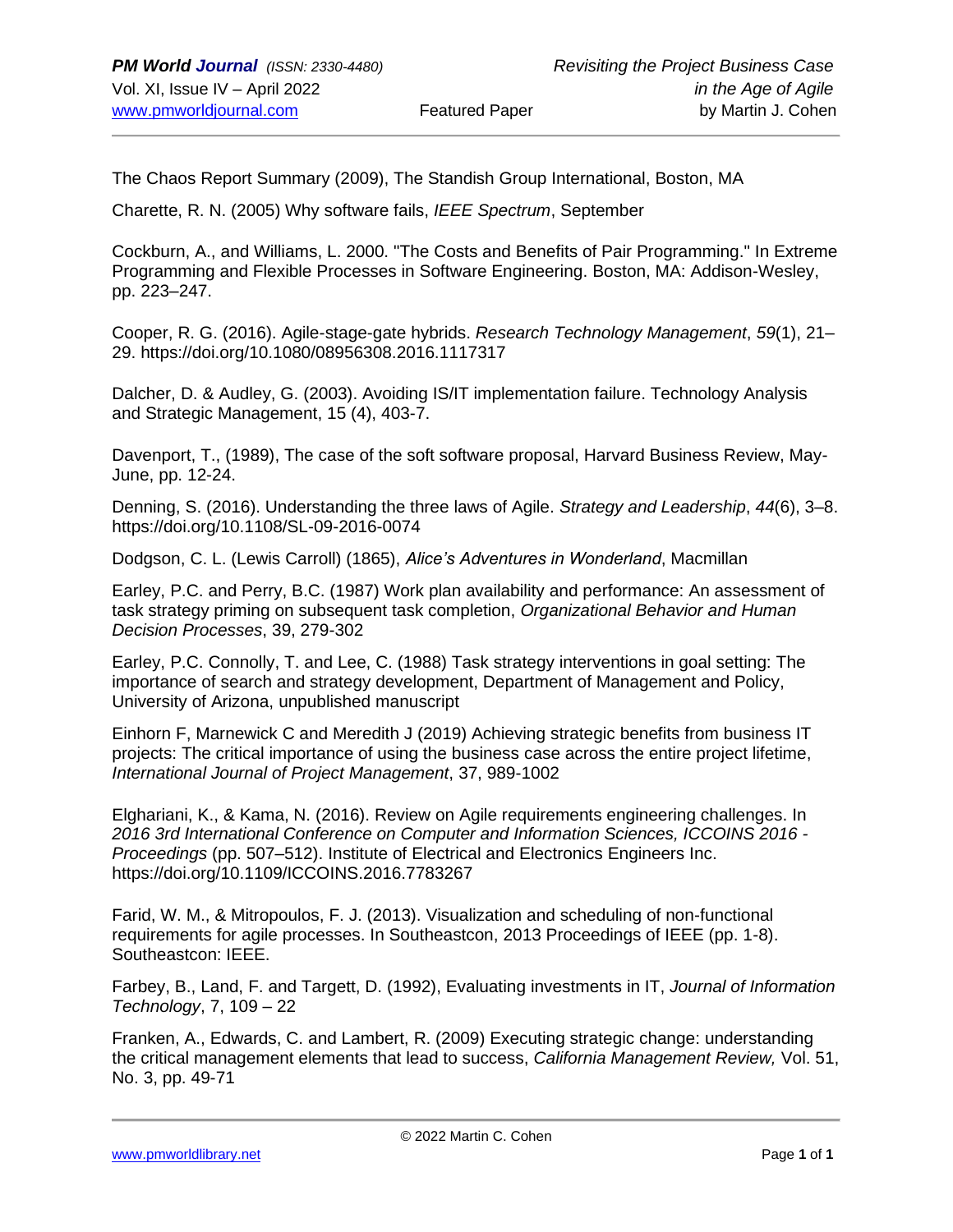The Chaos Report Summary (2009), The Standish Group International, Boston, MA

Charette, R. N. (2005) Why software fails, *IEEE Spectrum*, September

Cockburn, A., and Williams, L. 2000. "The Costs and Benefits of Pair Programming." In Extreme Programming and Flexible Processes in Software Engineering. Boston, MA: Addison-Wesley, pp. 223–247.

Cooper, R. G. (2016). Agile-stage-gate hybrids. *Research Technology Management*, *59*(1), 21– 29. https://doi.org/10.1080/08956308.2016.1117317

Dalcher, D. & Audley, G. (2003). Avoiding IS/IT implementation failure. Technology Analysis and Strategic Management, 15 (4), 403-7.

Davenport, T., (1989), The case of the soft software proposal, Harvard Business Review, May-June, pp. 12-24.

Denning, S. (2016). Understanding the three laws of Agile. *Strategy and Leadership*, *44*(6), 3–8. https://doi.org/10.1108/SL-09-2016-0074

Dodgson, C. L. (Lewis Carroll) (1865), *Alice's Adventures in Wonderland*, Macmillan

Earley, P.C. and Perry, B.C. (1987) Work plan availability and performance: An assessment of task strategy priming on subsequent task completion, *Organizational Behavior and Human Decision Processes*, 39, 279-302

Earley, P.C. Connolly, T. and Lee, C. (1988) Task strategy interventions in goal setting: The importance of search and strategy development, Department of Management and Policy, University of Arizona, unpublished manuscript

Einhorn F, Marnewick C and Meredith J (2019) Achieving strategic benefits from business IT projects: The critical importance of using the business case across the entire project lifetime, *International Journal of Project Management*, 37, 989-1002

Elghariani, K., & Kama, N. (2016). Review on Agile requirements engineering challenges. In *2016 3rd International Conference on Computer and Information Sciences, ICCOINS 2016 - Proceedings* (pp. 507–512). Institute of Electrical and Electronics Engineers Inc. https://doi.org/10.1109/ICCOINS.2016.7783267

Farid, W. M., & Mitropoulos, F. J. (2013). Visualization and scheduling of non-functional requirements for agile processes. In Southeastcon, 2013 Proceedings of IEEE (pp. 1-8). Southeastcon: IEEE.

Farbey, B., Land, F. and Targett, D. (1992), Evaluating investments in IT, *Journal of Information Technology*, 7, 109 – 22

Franken, A., Edwards, C. and Lambert, R. (2009) Executing strategic change: understanding the critical management elements that lead to success, *California Management Review,* Vol. 51, No. 3, pp. 49-71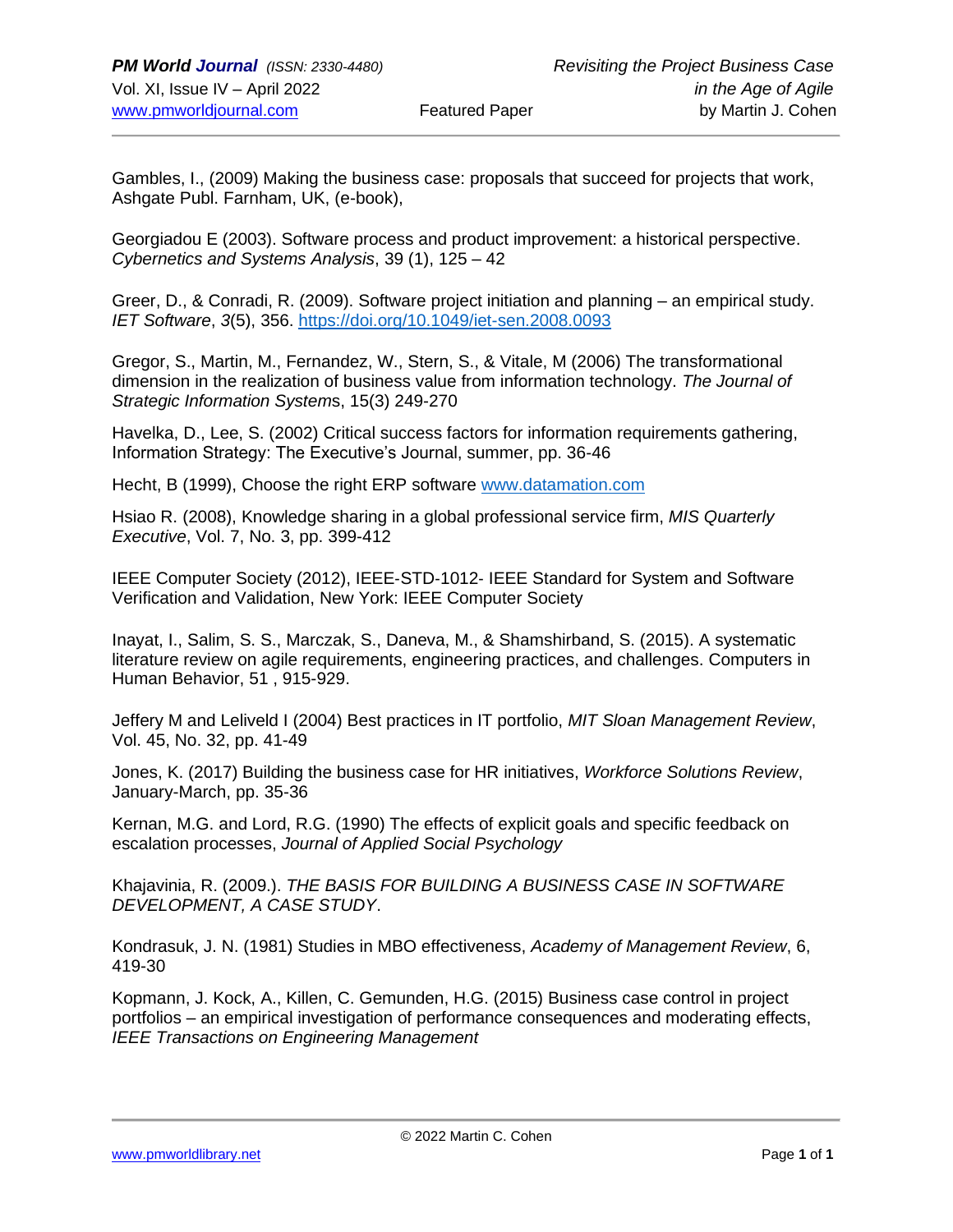Gambles, I., (2009) Making the business case: proposals that succeed for projects that work, Ashgate Publ. Farnham, UK, (e-book),

Georgiadou E (2003). Software process and product improvement: a historical perspective. *Cybernetics and Systems Analysis*, 39 (1), 125 – 42

Greer, D., & Conradi, R. (2009). Software project initiation and planning – an empirical study. *IET Software*, *3*(5), 356. [https://doi.org/10.1049/iet-sen.2008.0093](about:blank)

Gregor, S., Martin, M., Fernandez, W., Stern, S., & Vitale, M (2006) The transformational dimension in the realization of business value from information technology. *The Journal of Strategic Information System*s, 15(3) 249-270

Havelka, D., Lee, S. (2002) Critical success factors for information requirements gathering, Information Strategy: The Executive's Journal, summer, pp. 36-46

Hecht, B (1999), Choose the right ERP software [www.datamation.com](about:blank)

Hsiao R. (2008), Knowledge sharing in a global professional service firm, *MIS Quarterly Executive*, Vol. 7, No. 3, pp. 399-412

IEEE Computer Society (2012), IEEE‐STD‐1012‐ IEEE Standard for System and Software Verification and Validation, New York: IEEE Computer Society

Inayat, I., Salim, S. S., Marczak, S., Daneva, M., & Shamshirband, S. (2015). A systematic literature review on agile requirements, engineering practices, and challenges. Computers in Human Behavior, 51 , 915-929.

Jeffery M and Leliveld I (2004) Best practices in IT portfolio, *MIT Sloan Management Review*, Vol. 45, No. 32, pp. 41-49

Jones, K. (2017) Building the business case for HR initiatives, *Workforce Solutions Review*, January-March, pp. 35-36

Kernan, M.G. and Lord, R.G. (1990) The effects of explicit goals and specific feedback on escalation processes, *Journal of Applied Social Psychology*

Khajavinia, R. (2009.). *THE BASIS FOR BUILDING A BUSINESS CASE IN SOFTWARE DEVELOPMENT, A CASE STUDY*.

Kondrasuk, J. N. (1981) Studies in MBO effectiveness, *Academy of Management Review*, 6, 419-30

Kopmann, J. Kock, A., Killen, C. Gemunden, H.G. (2015) Business case control in project portfolios – an empirical investigation of performance consequences and moderating effects, *IEEE Transactions on Engineering Management*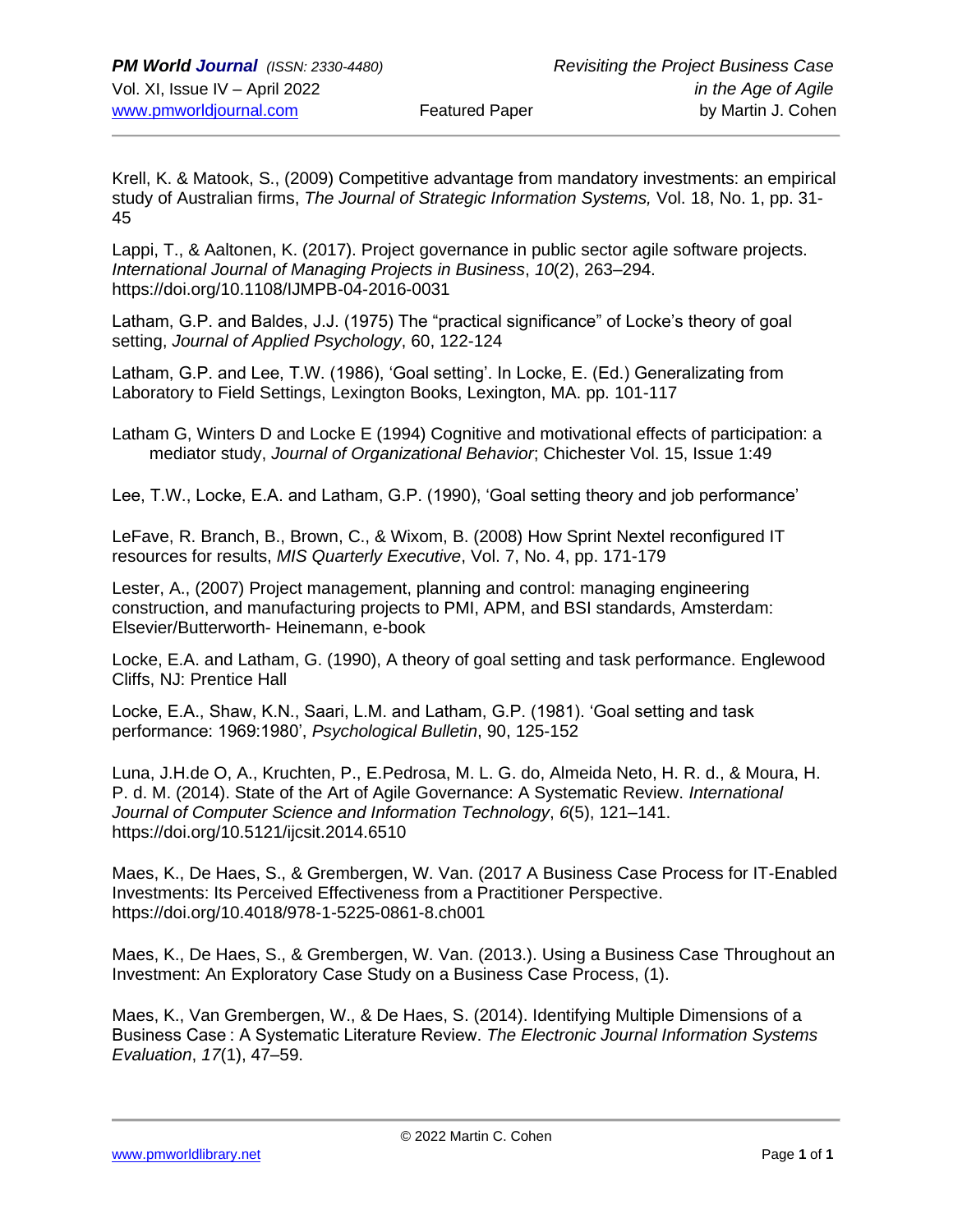Krell, K. & Matook, S., (2009) Competitive advantage from mandatory investments: an empirical study of Australian firms, *The Journal of Strategic Information Systems,* Vol. 18, No. 1, pp. 31- 45

Lappi, T., & Aaltonen, K. (2017). Project governance in public sector agile software projects. *International Journal of Managing Projects in Business*, *10*(2), 263–294. https://doi.org/10.1108/IJMPB-04-2016-0031

Latham, G.P. and Baldes, J.J. (1975) The "practical significance" of Locke's theory of goal setting, *Journal of Applied Psychology*, 60, 122-124

Latham, G.P. and Lee, T.W. (1986), 'Goal setting'. In Locke, E. (Ed.) Generalizating from Laboratory to Field Settings, Lexington Books, Lexington, MA. pp. 101-117

Latham G, Winters D and Locke E (1994) Cognitive and motivational effects of participation: a mediator study, *Journal of Organizational Behavior*; Chichester Vol. 15, Issue 1:49

Lee, T.W., Locke, E.A. and Latham, G.P. (1990), 'Goal setting theory and job performance'

LeFave, R. Branch, B., Brown, C., & Wixom, B. (2008) How Sprint Nextel reconfigured IT resources for results, *MIS Quarterly Executive*, Vol. 7, No. 4, pp. 171-179

Lester, A., (2007) Project management, planning and control: managing engineering construction, and manufacturing projects to PMI, APM, and BSI standards, Amsterdam: Elsevier/Butterworth- Heinemann, e-book

Locke, E.A. and Latham, G. (1990), A theory of goal setting and task performance. Englewood Cliffs, NJ: Prentice Hall

Locke, E.A., Shaw, K.N., Saari, L.M. and Latham, G.P. (1981). 'Goal setting and task performance: 1969:1980', *Psychological Bulletin*, 90, 125-152

Luna, J.H.de O, A., Kruchten, P., E.Pedrosa, M. L. G. do, Almeida Neto, H. R. d., & Moura, H. P. d. M. (2014). State of the Art of Agile Governance: A Systematic Review. *International Journal of Computer Science and Information Technology*, *6*(5), 121–141. https://doi.org/10.5121/ijcsit.2014.6510

Maes, K., De Haes, S., & Grembergen, W. Van. (2017 A Business Case Process for IT-Enabled Investments: Its Perceived Effectiveness from a Practitioner Perspective. https://doi.org/10.4018/978-1-5225-0861-8.ch001

Maes, K., De Haes, S., & Grembergen, W. Van. (2013.). Using a Business Case Throughout an Investment: An Exploratory Case Study on a Business Case Process, (1).

Maes, K., Van Grembergen, W., & De Haes, S. (2014). Identifying Multiple Dimensions of a Business Case : A Systematic Literature Review. *The Electronic Journal Information Systems Evaluation*, *17*(1), 47–59.

[www.pmworldlibrary.net](about:blank) Page **1** of **1**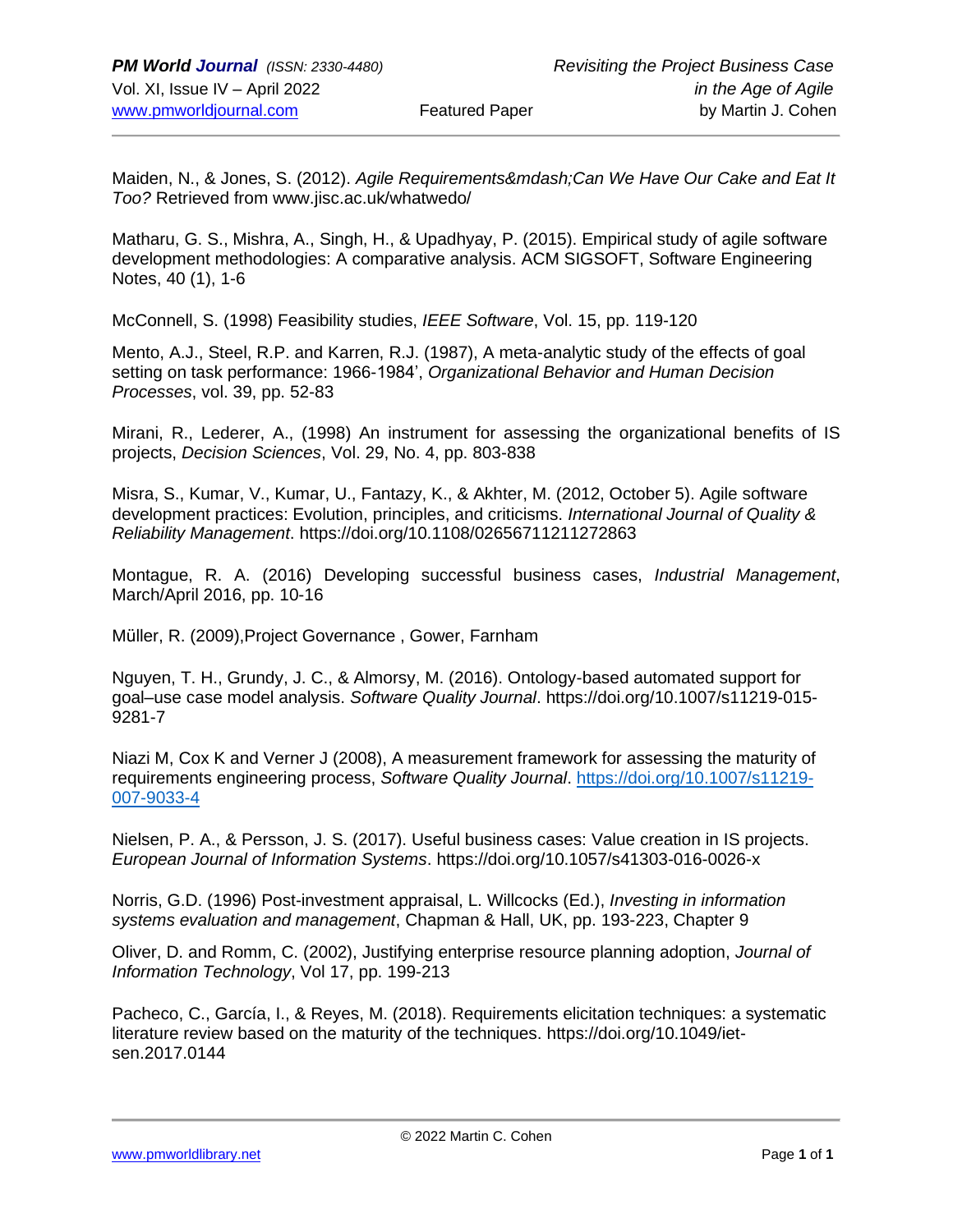Maiden, N., & Jones, S. (2012). *Agile Requirements—Can We Have Our Cake and Eat It Too?* Retrieved from www.jisc.ac.uk/whatwedo/

Matharu, G. S., Mishra, A., Singh, H., & Upadhyay, P. (2015). Empirical study of agile software development methodologies: A comparative analysis. ACM SIGSOFT, Software Engineering Notes, 40 (1), 1-6

McConnell, S. (1998) Feasibility studies, *IEEE Software*, Vol. 15, pp. 119-120

Mento, A.J., Steel, R.P. and Karren, R.J. (1987), A meta-analytic study of the effects of goal setting on task performance: 1966-1984', *Organizational Behavior and Human Decision Processes*, vol. 39, pp. 52-83

Mirani, R., Lederer, A., (1998) An instrument for assessing the organizational benefits of IS projects, *Decision Sciences*, Vol. 29, No. 4, pp. 803-838

Misra, S., Kumar, V., Kumar, U., Fantazy, K., & Akhter, M. (2012, October 5). Agile software development practices: Evolution, principles, and criticisms. *International Journal of Quality & Reliability Management*. https://doi.org/10.1108/02656711211272863

Montague, R. A. (2016) Developing successful business cases, *Industrial Management*, March/April 2016, pp. 10-16

Müller, R. (2009),Project Governance , Gower, Farnham

Nguyen, T. H., Grundy, J. C., & Almorsy, M. (2016). Ontology-based automated support for goal–use case model analysis. *Software Quality Journal*. https://doi.org/10.1007/s11219-015- 9281-7

Niazi M, Cox K and Verner J (2008), A measurement framework for assessing the maturity of requirements engineering process, *Software Quality Journal*. [https://doi.org/10.1007/s11219-](about:blank) [007-9033-4](about:blank)

Nielsen, P. A., & Persson, J. S. (2017). Useful business cases: Value creation in IS projects. *European Journal of Information Systems*. https://doi.org/10.1057/s41303-016-0026-x

Norris, G.D. (1996) Post-investment appraisal, L. Willcocks (Ed.), *Investing in information systems evaluation and management*, Chapman & Hall, UK, pp. 193-223, Chapter 9

Oliver, D. and Romm, C. (2002), Justifying enterprise resource planning adoption, *Journal of Information Technology*, Vol 17, pp. 199-213

Pacheco, C., García, I., & Reyes, M. (2018). Requirements elicitation techniques: a systematic literature review based on the maturity of the techniques. https://doi.org/10.1049/ietsen.2017.0144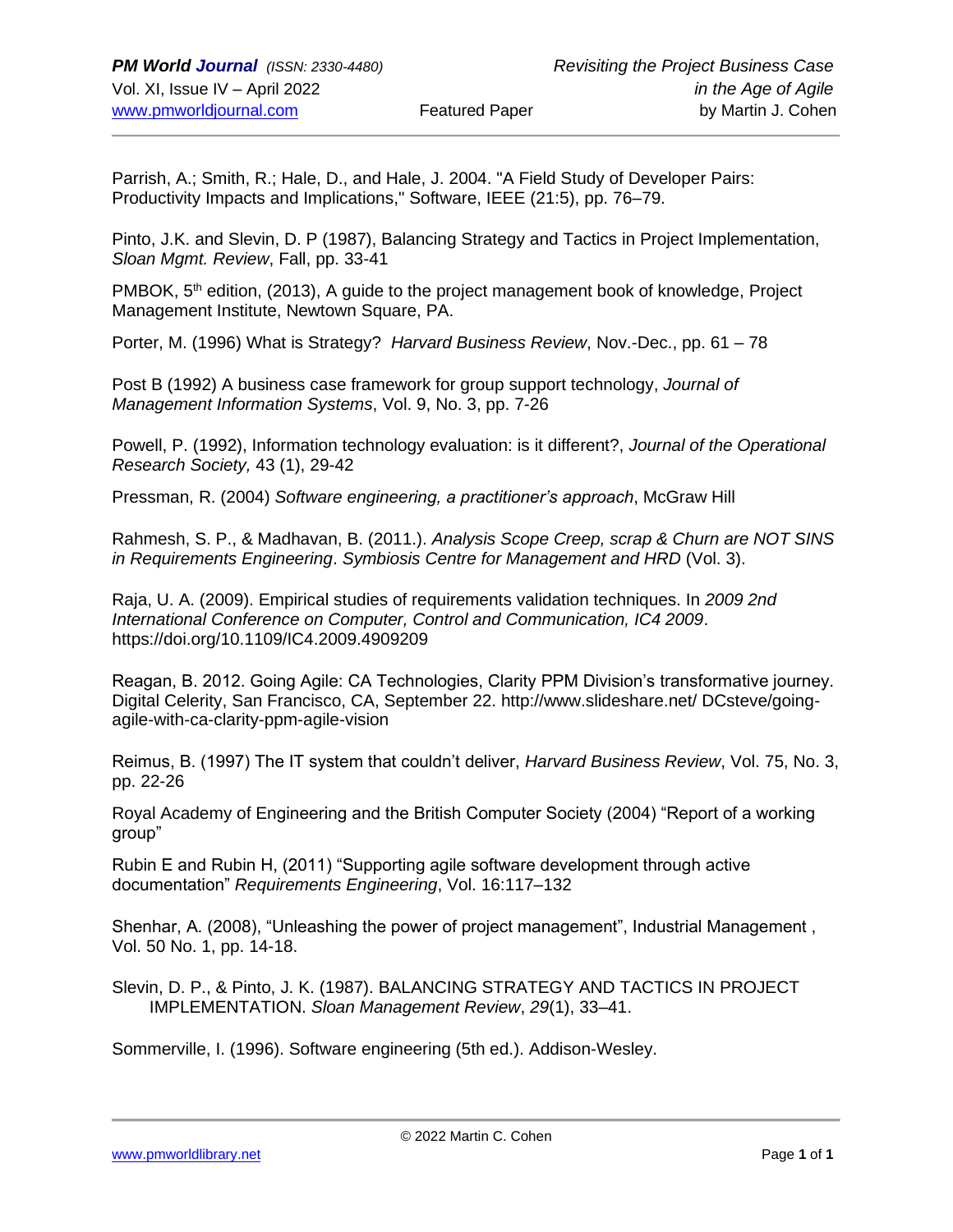Parrish, A.; Smith, R.; Hale, D., and Hale, J. 2004. "A Field Study of Developer Pairs: Productivity Impacts and Implications," Software, IEEE (21:5), pp. 76–79.

Pinto, J.K. and Slevin, D. P (1987), Balancing Strategy and Tactics in Project Implementation, *Sloan Mgmt. Review*, Fall, pp. 33-41

PMBOK, 5<sup>th</sup> edition, (2013), A guide to the project management book of knowledge, Project Management Institute, Newtown Square, PA.

Porter, M. (1996) What is Strategy? *Harvard Business Review*, Nov.-Dec., pp. 61 – 78

Post B (1992) A business case framework for group support technology, *Journal of Management Information Systems*, Vol. 9, No. 3, pp. 7-26

Powell, P. (1992), Information technology evaluation: is it different?, *Journal of the Operational Research Society,* 43 (1), 29-42

Pressman, R. (2004) *Software engineering, a practitioner's approach*, McGraw Hill

Rahmesh, S. P., & Madhavan, B. (2011.). *Analysis Scope Creep, scrap & Churn are NOT SINS in Requirements Engineering*. *Symbiosis Centre for Management and HRD* (Vol. 3).

Raja, U. A. (2009). Empirical studies of requirements validation techniques. In *2009 2nd International Conference on Computer, Control and Communication, IC4 2009*. https://doi.org/10.1109/IC4.2009.4909209

Reagan, B. 2012. Going Agile: CA Technologies, Clarity PPM Division's transformative journey. Digital Celerity, San Francisco, CA, September 22. http://www.slideshare.net/ DCsteve/goingagile-with-ca-clarity-ppm-agile-vision

Reimus, B. (1997) The IT system that couldn't deliver, *Harvard Business Review*, Vol. 75, No. 3, pp. 22-26

Royal Academy of Engineering and the British Computer Society (2004) "Report of a working group"

Rubin E and Rubin H, (2011) "Supporting agile software development through active documentation" *Requirements Engineering*, Vol. 16:117–132

Shenhar, A. (2008), "Unleashing the power of project management", Industrial Management , Vol. 50 No. 1, pp. 14-18.

Slevin, D. P., & Pinto, J. K. (1987). BALANCING STRATEGY AND TACTICS IN PROJECT IMPLEMENTATION. *Sloan Management Review*, *29*(1), 33–41.

Sommerville, I. (1996). Software engineering (5th ed.). Addison-Wesley.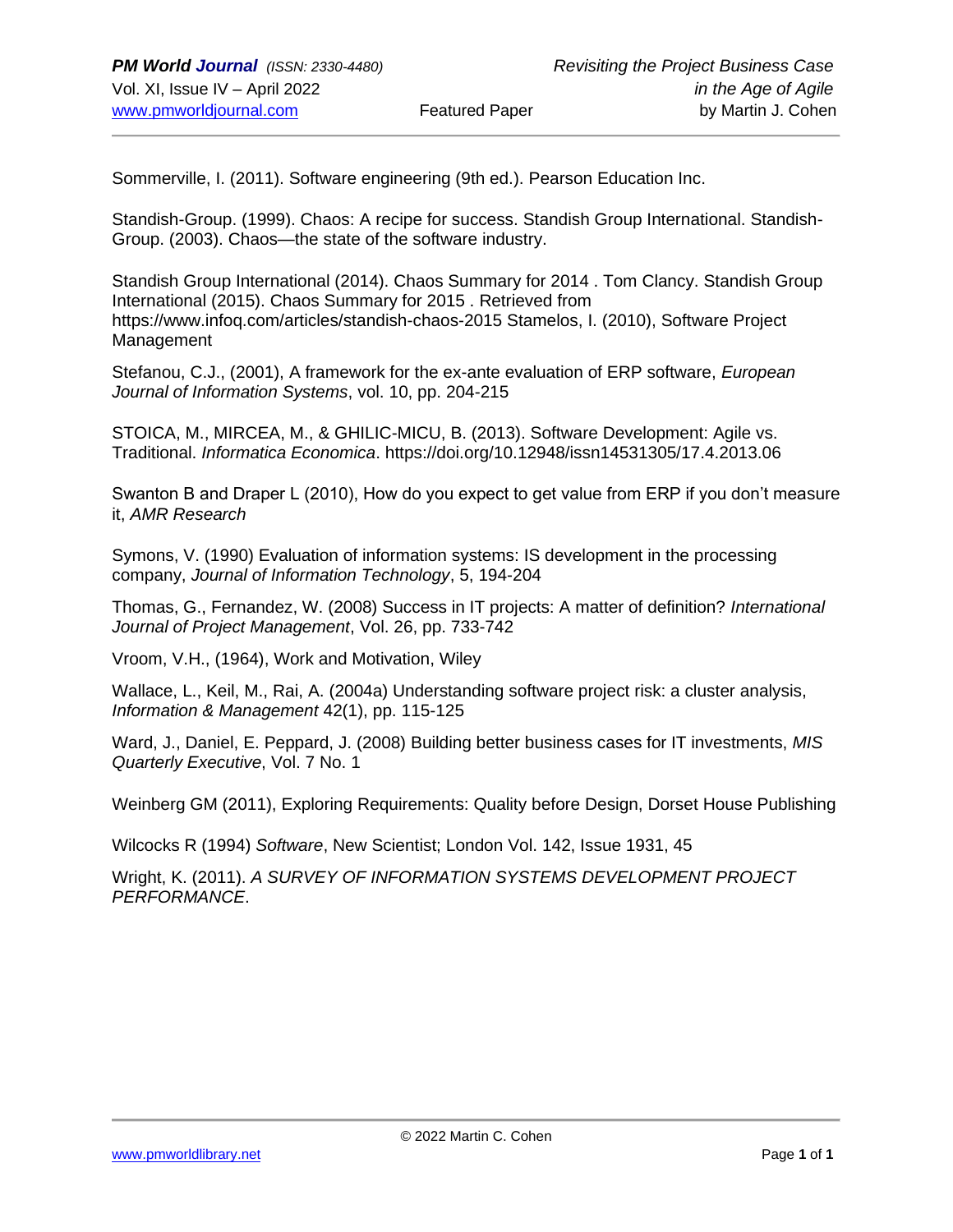Sommerville, I. (2011). Software engineering (9th ed.). Pearson Education Inc.

Standish-Group. (1999). Chaos: A recipe for success. Standish Group International. Standish-Group. (2003). Chaos—the state of the software industry.

Standish Group International (2014). Chaos Summary for 2014 . Tom Clancy. Standish Group International (2015). Chaos Summary for 2015 . Retrieved from https://www.infoq.com/articles/standish-chaos-2015 Stamelos, I. (2010), Software Project Management

Stefanou, C.J., (2001), A framework for the ex-ante evaluation of ERP software, *European Journal of Information Systems*, vol. 10, pp. 204-215

STOICA, M., MIRCEA, M., & GHILIC-MICU, B. (2013). Software Development: Agile vs. Traditional. *Informatica Economica*. https://doi.org/10.12948/issn14531305/17.4.2013.06

Swanton B and Draper L (2010), How do you expect to get value from ERP if you don't measure it, *AMR Research*

Symons, V. (1990) Evaluation of information systems: IS development in the processing company, *Journal of Information Technology*, 5, 194-204

Thomas, G., Fernandez, W. (2008) Success in IT projects: A matter of definition? *International Journal of Project Management*, Vol. 26, pp. 733-742

Vroom, V.H., (1964), Work and Motivation, Wiley

Wallace, L., Keil, M., Rai, A. (2004a) Understanding software project risk: a cluster analysis, *Information & Management* 42(1), pp. 115-125

Ward, J., Daniel, E. Peppard, J. (2008) Building better business cases for IT investments, *MIS Quarterly Executive*, Vol. 7 No. 1

Weinberg GM (2011), Exploring Requirements: Quality before Design, Dorset House Publishing

Wilcocks R (1994) *Software*, New Scientist; London Vol. 142, Issue 1931, 45

Wright, K. (2011). *A SURVEY OF INFORMATION SYSTEMS DEVELOPMENT PROJECT PERFORMANCE*.